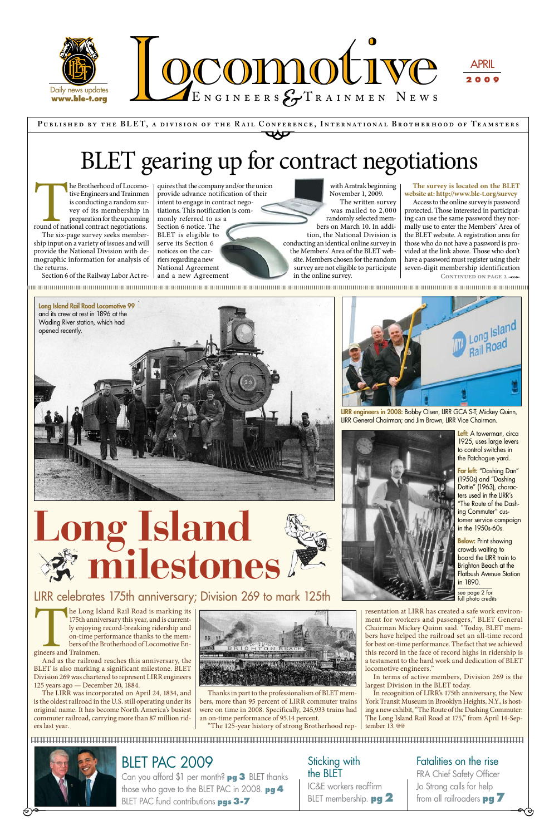**P ublished by the BLE T, a div ision of the R a il Conference, Internationa l Brotherhood of Te a msters** CONFERE

## Sticking with the BLET



IC&E workers reaffirm BLET membership. **pg 2**

## BLET PAC 2009

Can you afford \$1 per month? **pg 3** BLET thanks those who gave to the BLET PAC in 2008. **pg 4** BLET PAC fund contributions **pgs 3-7**

175th anniversary this year, and is currently enjoying record-breaking ridership and on-time performance thanks to the members of the Brotherhood of Locomotive Engineers and Trainmen.

And as the railroad reaches this anniversary, the BLET is also marking a significant milestone. BLET Division 269 was chartered to represent LIRR engineers 125 years ago — December 20, 1884.

> In recognition of LIRR's 175th anniversary, the New York Transit Museum in Brooklyn Heights, N.Y., is hosting a new exhibit, "The Route of the Dashing Commuter: The Long Island Rail Road at 175," from April 14-September 13. $\circledcirc$



 $\Theta^{\bullet-}$ 

The LIRR was incorporated on April 24, 1834, and is the oldest railroad in the U.S. still operating under its original name. It has become North America's busiest commuter railroad, carrying more than 87 million riders last year.



The Long Island Rail Road is marking its LIRR celebrates 175th anniversary; Division 269 to mark 125th



the Brotherhood of Locomo-<br>tive Engineers and Trainmen<br>is conducting a random sur-<br>vey of its membership in<br>preparation for the upcoming<br>round of national contract negotiations.<br>The six-page survey seeks membertive Engineers and Trainmen is conducting a random survey of its membership in preparation for the upcoming

> Thanks in part to the professionalism of BLET members, more than 95 percent of LIRR commuter trains were on time in 2008. Specifically, 245,933 trains had an on-time performance of 95.14 percent.

"The 125-year history of strong Brotherhood rep-

resentation at LIRR has created a safe work environ-

ment for workers and passengers," BLET General Chairman Mickey Quinn said. "Today, BLET members have helped the railroad set an all-time record for best on-time performance. The fact that we achieved this record in the face of record highs in ridership is a testament to the hard work and dedication of BLET locomotive engineers."

Access to the online survey is password protected. Those interested in participating can use the same password they normally use to enter the Members' Area of the BLET website. A registration area for those who do not have a password is provided at the link above. Those who don't have a password must register using their seven-digit membership identification CONTINUED ON PAGE 2 **-0** 

In terms of active members, Division 269 is the largest Division in the BLET today.

Left: A towerman, circa 1925, uses large levers to control switches in the Patchogue yard.



**Below: Print showing** crowds waiting to board the LIRR train to Brighton Beach at the Flatbush Avenue Station in 1890.

LIRR engineers in 2008: Bobby Olsen, LIRR GCA S-T; Mickey Quinn, LIRR General Chairman; and Jim Brown, LIRR Vice Chairman.



The six-page survey seeks membership input on a variety of issues and will provide the National Division with demographic information for analysis of the returns.

Section 6 of the Railway Labor Act re-

quires that the company and/or the union provide advance notification of their intent to engage in contract negotiations. This notification is commonly referred to as a Section 6 notice. The BLET is eligible to serve its Section 6 notices on the carriers regarding a new National Agreement and a new Agreement

with Amtrak beginning November 1, 2009.

The written survey was mailed to 2,000 randomly selected members on March 10. In addition, the National Division is conducting an identical online survey in the Members' Area of the BLET website. Members chosen for the random survey are not eligible to participate in the online survey.

**The survey is located on the BLET website at: http://www.ble-t.org/survey**

# BLET gearing up for contract negotiations



Far left: "Dashing Dan" (1950s) and "Dashing Dottie" (1963), characters used in the LIRR's "The Route of the Dashing Commuter" customer service campaign in the 1950s-60s.

see page 2 for full photo credits

Fatalities on the rise FRA Chief Safety Officer Jo Strang calls for help from all railroaders **pg 7**

 $\overline{\phantom{a}}$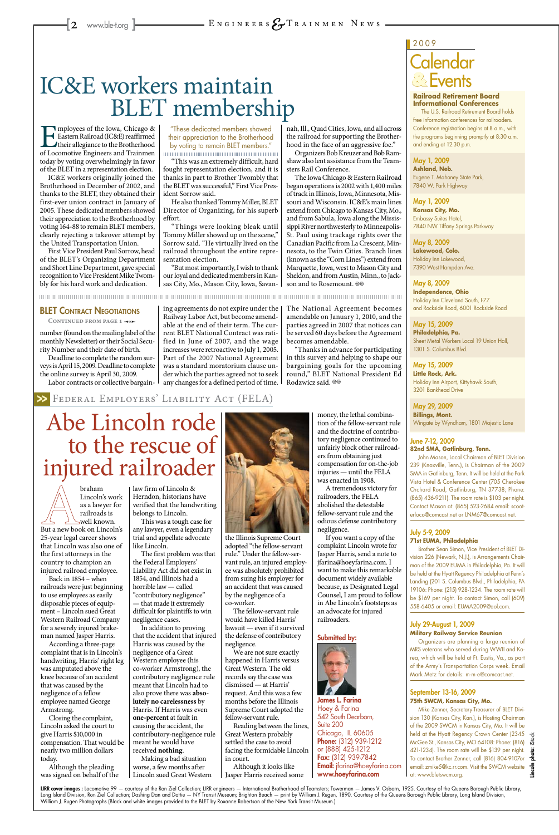braham Lincoln's work as a lawyer for railroads is well known. But a new book on Lincoln's 25-year legal career shows that Lincoln was also one of the first attorneys in the country to champion an injured railroad employee.

Back in 1854 – when railroads were just beginning to use employees as easily disposable pieces of equipment – Lincoln sued Great Western Railroad Company for a severely injured brakeman named Jasper Harris. According a three-page complaint that is in Lincoln's handwriting, Harris' right leg was amputated above the knee because of an accident that was caused by the negligence of a fellow employee named George Armstrong. Closing the complaint, Lincoln asked the court to give Harris \$10,000 in compensation. That would be nearly two million dollars today.

Although the pleading was signed on behalf of the law firm of Lincoln & Herndon, historians have verified that the handwriting belongs to Lincoln.

This was a tough case for any lawyer, even a legendary trial and appellate advocate like Lincoln.

The first problem was that the Federal Employers' Liability Act did not exist in 1854, and Illinois had a horrible law — called "contributory negligence" — that made it extremely difficult for plaintiffs to win



negligence cases.

In addition to proving that the accident that injured Harris was caused by the negligence of a Great Western employee (his co-worker Armstrong), the contributory negligence rule meant that Lincoln had to also prove there was **absolutely no carelessness** by Harris. If Harris was even **one-percent** at fault in causing the accident, the contributory-negligence rule meant he would have received **nothing**.

Making a bad situation worse, a few months after Lincoln sued Great Western

**I** mployees of the Iowa, Chicago & Eastern Railroad (IC&E) reaffirmed their allegiance to the Brotherhood of Locomotive Engineers and Trainmen today by voting overwhelmingly in favor of the BLET in a representation election.

> the Illinois Supreme Court adopted "the fellow-servant rule." Under the fellow-servant rule, an injured employee was absolutely prohibited from suing his employer for an accident that was caused by the negligence of a co-worker.

The fellow-servant rule

would have killed Harris' lawsuit — even if it survived the defense of contributory negligence.

We are not sure exactly happened in Harris versus Great Western. The old records say the case was dismissed — at Harris' request. And this was a few months before the Illinois Supreme Court adopted the fellow-servant rule.

Reading between the lines, Great Western probably settled the case to avoid facing the formidable Lincoln in court.

The Iowa Chicago & Eastern Railroad began operations is 2002 with 1,400 miles of track in Illinois, Iowa, Minnesota, Missouri and Wisconsin. IC&E's main lines extend from Chicago to Kansas City, Mo., and from Sabula, Iowa along the Mississippi River northwesterly to Minneapolis-St. Paul using trackage rights over the Canadian Pacific from La Crescent, Minnesota, to the Twin Cities. Branch lines (known as the "Corn Lines") extend from Marquette, Iowa, west to Mason City and Sheldon, and from Austin, Minn., to Jackson and to Rosemount.  $\circledast$ 

#### **BLET CONTRACT NEGOTIATIONS**

CONTINUED FROM PAGE 1-0

Although it looks like Jasper Harris received some money, the lethal combination of the fellow-servant rule and the doctrine of contributory negligence continued to unfairly block other railroaders from obtaining just compensation for on-the-job injuries — until the FELA was enacted in 1908.

## **Calendar** & Events 2009 **&**

A tremendous victory for railroaders, the FELA abolished the detestable fellow-servant rule and the odious defense contributory negligence.

If you want a copy of the complaint Lincoln wrote for Jasper Harris, send a note to jfarina@hoeyfarina.com. I want to make this remarkable document widely available because, as Designated Legal Counsel, I am proud to follow in Abe Lincoln's footsteps as an advocate for injured

"Thanks in advance for participating in this survey and helping to shape our bargaining goals for the upcoming round," BLET National President Ed Rodzwicz said. ®®

railroaders.

#### Submitted by:



James L. Farina Hoey & Farina 542 South Dearborn, Suite 200 Chicago, IL 60605 **Phone:** (312) 939-1212 or (888) 425-1212 **Fax:** (312) 939-7842 Email: jfarina@hoeyfarina.com www.hoeyfarina.com

### Federal Employers' Liability Act (FELA) >>

## Abe Lincoln rode to the rescue of injured railroader

IC&E workers originally joined the Brotherhood in December of 2002, and thanks to the BLET, they obtained their first-ever union contract in January of 2005. These dedicated members showed their appreciation to the Brotherhood by voting 164-88 to remain BLET members, clearly rejecting a takeover attempt by the United Transportation Union.

First Vice President Paul Sorrow, head of the BLET's Organizing Department and Short Line Department, gave special recognition to Vice President Mike Twombly for his hard work and dedication.

"This was an extremely difficult, hard fought representation election, and it is thanks in part to Brother Twombly that the BLET was successful," First Vice President Sorrow said.

He also thanked Tommy Miller, BLET Director of Organizing, for his superb effort.

"Things were looking bleak until Tommy Miller showed up on the scene," Sorrow said. "He virtually lived on the railroad throughout the entire representation election.

"But most importantly, I wish to thank our loyal and dedicated members in Kansas City, Mo., Mason City, Iowa, Savan-

LIRR cover images : Locomotive 99 — courtesy of the Ron Ziel Collection; LIRR engineers — International Brotherhood of Teamsters; Towerman — James V. Osborn, 1925. Courtesy of the Queens Borough Public Library, Long Island Division, Ron Ziel Collection; Dashing Dan and Dottie — NY Transit Museum; Brighton Beach — print by William J. Rugen, 1890. Courtesy of the Queens Borough Public Library, Long Island Division, William J. Rugen Photographs (Black and white images provided to the BLET by Roxanne Robertson of the New York Transit Museum.)

nah, Ill., Quad Cities, Iowa, and all across the railroad for supporting the Brotherhood in the face of an aggressive foe."

Organizers Bob Kreuzer and Bob Ramshaw also lent assistance from the Teamsters Rail Conference.

## IC&E workers maintain BLET membership

number (found on the mailing label of the monthly Newsletter) or their Social Security Number and their date of birth.

Deadline to complete the random surveys is April 15, 2009. Deadline to complete the online survey is April 30, 2009.

Labor contracts or collective bargain-

ing agreements do not expire under the Railway Labor Act, but become amendable at the end of their term. The current BLET National Contract was ratified in June of 2007, and the wage increases were retroactive to July 1, 2005. Part of the 2007 National Agreement was a standard moratorium clause under which the parties agreed not to seek any changes for a defined period of time.

The National Agreement becomes amendable on January 1, 2010, and the parties agreed in 2007 that notices can be served 60 days before the Agreement becomes amendable.

"These dedicated members showed their appreciation to the Brotherhood by voting to remain BLET members." 

#### **Railroad Retirement Board Informational Conferences**

The U.S. Railroad Retirement Board holds free information conferences for railroaders. Conference registration begins at 8 a.m., with the programs beginning promptly at 8:30 a.m. and ending at 12:30 p.m.

#### May 1, 2009

**Ashland, Neb**. Eugene T. Mahoney State Park, 7840 W. Park Highway

May 1, 2009 **Kansas City, Mo.** Embassy Suites Hotel, 7840 NW Tiffany Springs Parkway

May 8, 2009 **Lakewood, Colo.**  Holiday Inn Lakewood, 7390 West Hampden Ave.

May 8, 2009 **Independence, Ohio** Holiday Inn Cleveland South, I-77 and Rockside Road, 6001 Rockside Road

May 15, 2009 **Philadelphia, Pa.**  Sheet Metal Workers Local 19 Union Hall, 1301 S. Columbus Blvd.

May 15, 2009 **Little Rock, Ark.**  Holiday Inn Airport, Kittyhawk South, 3201 Bankhead Drive

May 29, 2009 **Billings, Mont.** Wingate by Wyndham, 1801 Majestic Lane

#### June 7-12, 2009 **82nd SMA, Gatlinburg, Tenn.**

John Mason, Local Chairman of BLET Division 239 (Knoxville, Tenn.), is Chairman of the 2009 SMA in Gatlinburg, Tenn. It will be held at the Park Vista Hotel & Conference Center (705 Cherokee Orchard Road, Gatlinburg, TN 37738; Phone: (865) 436-9211). The room rate is \$103 per night. Contact Mason at: (865) 523-2684 email: scooterloco@comcast.net or LNM67@comcast.net.

#### July 5-9, 2009 **71st EUMA, Philadelphia**

Brother Sean Simon, Vice President of BLET Division 226 (Newark, N.J.), is Arrangements Chairman of the 2009 EUMA in Philadelphia, Pa. It will be held at the Hyatt Regency Philadelphia at Penn's Landing (201 S. Columbus Blvd., Philadelphia, PA 19106: Phone: (215) 928-1234. The room rate will be \$169 per night. To contact Simon, call (609) 558-6405 or email: EUMA2009@aol.com.

#### July 29-August 1, 2009 **Military Railway Service Reunion**

Organizers are planning a large reunion of MRS veterans who served during WWII and Korea, which will be held at Ft. Eustis, Va., as part of the Army's Transportation Corps week. Email Mark Metz for details: m-m-e@comcast.net.

#### September 13-16, 2009 **75th SWCM, Kansas City, Mo.**

Mike Zenner, Secretary-Treasurer of BLET Division 130 (Kansas City, Kan.), is Hosting Chairman of the 2009 SWCM in Kansas City, Mo. It will be held at the Hyatt Regency Crown Center (2345 McGee St., Kansas City, MO 64108: Phone: (816) 421-1234). The room rate will be \$139 per night. To contact Brother Zenner, call (816) 804-9107or email: zmike5@kc.rr.com. Visit the SWCM website  $-\frac{5}{8}$ at: www.bletswcm.org.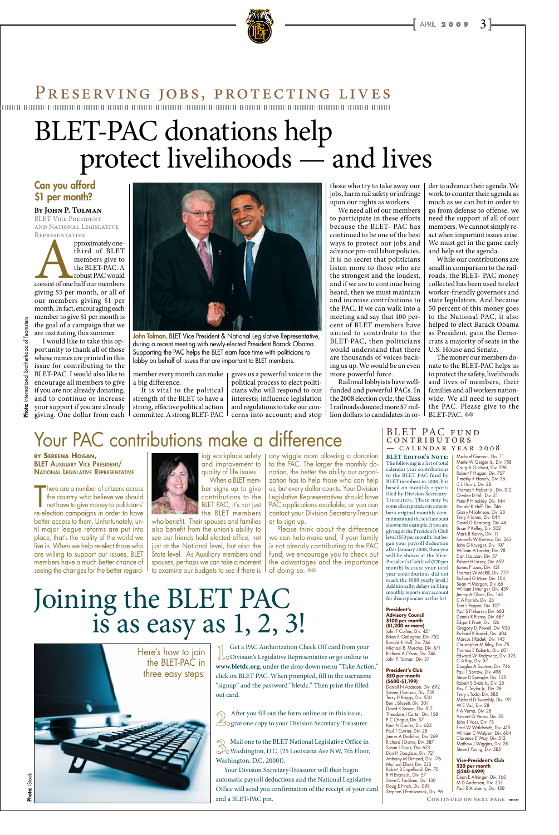# PRESERVING JOBS, PROTECTING LIVES

### Can you afford \$1 per month?

**By John P. Tolman** BLET Vice President and National Legislative Representative

third of BLET members give to the BLET-PAC. A robust PAC would

pproximately one-<br>third of BLET<br>members give to<br>the BLET-PAC. A<br>robust PAC would<br>consist of one half our members<br>giving \$5 per month or all of are instituting this summer. I would like to take this op-

giving \$5 per month, or all of our members giving \$1 per month. In fact, encouraging each member to give \$1 per month is the goal of a campaign that we

> member every month can make  $\, \mid \,$  gives us a powerful voice in the a big difference.

portunity to thank all of those whose names are printed in this issue for contributing to the BLET-PAC. I would also like to encourage all members to give if you are not already donating, and to continue or increase your support if you are already giving. One dollar from each

It is vital to the political strength of the BLET to have a strong, effective political action committee. A strong BLET- PAC

political process to elect politicians who will respond to our interests; influence legislation and regulations to take our concerns into account; and stop those who try to take away our jobs, harm rail safety or infringe upon our rights as workers.

> The money our members donate to the BLET-PAC helps us to protect the safety, livelihoods and lives of members, their families and all workers nationwide. We all need to support the PAC. Please give to the BLET-PAC. @@

We need all of our members to participate in these efforts because the BLET- PAC has continued to be one of the best ways to protect our jobs and advance pro-rail labor policies. It is no secret that politicians listen more to those who are the strongest and the loudest, and if we are to continue being heard, then we must maintain and increase contributions to the PAC. If we can walk into a meeting and say that 100 percent of BLET members have united to contribute to the BLET-PAC, then politicians would understand that there are thousands of voices backing us up. We would be an even more powerful force.

There are a number of citizens across<br>the country who believe we should<br>not have to give money to politicians'<br>re-election campaigns in order to have here are a number of citizens across the country who believe we should not have to give money to politicians' better access to them. Unfortunately, until major league reforms are put into place, that's the reality of the world we live in. When we help re-elect those who are willing to support our issues, BLET members have a much better chance of seeing the changes for the better regard-



Railroad lobbyists have wellfunded and powerful PACs. In the 2008 election cycle, the Class I railroads donated more \$7 million dollars to candidates in or-

Please think about the difference we can help make and, if your family is not already contributing to the PAC fund, we encourage you to check out the advantages and the importance of doing so.  $\circledcirc$ 

der to advance their agenda. We work to counter their agenda as much as we can but in order to go from defense to offense, we need the support of all of our members. We cannot simply react when important issues arise. We must get in the game early and help set the agenda.

While our contributions are small in comparison to the railroads, the BLET- PAC money collected has been used to elect worker-friendly governors and state legislators. And because 50 percent of this money goes to the National PAC, it also helped to elect Barack Obama as President, gain the Democrats a majority of seats in the U.S. House and Senate.

 $\mathcal{Q}$  Mail one to the BLET National Legislative Office in  $\mathcal{O}_\text{O}$  Washington, D.C. (25 Louisiana Ave NW, 7th Floor, Washington, D.C. 20001).

#### BLET PAC FUND CONTRIBUTORS — calendar year 2008

# BLET-PAC donations help protect livelihoods — and lives

## **by Sereena Hogan,**

BLET Auxiliary Vice President/ National Legislative Representative

**BLET EDITOR'S NOTE:** The following is a list of total calendar year contributions to the BLET PAC fund by BLET members in 2008. It is based on monthly reports filed by Division Secretary-Treasurers. There may be some discrepancies in a member's original monthly commitment and the total amount shown; for example, if you are giving at the President's Club level (\$50 per month), but began your payroll deduction after January 2008, then you will be shown at the Vice-President's Club level (\$20 per month) because your total year contributions did not reach the \$600 yearly level.) Additionally, delays in filing monthly reports may account for discrepancies in this list

ing workplace safety and improvement to quality of life issues.

When a BLET member signs up to give contributions to the BLET PAC, it's not just the BLET members

who benefit. Their spouses and families also benefit from the union's ability to see our friends hold elected office, not just at the National level, but also the State level. As Auxiliary members and spouses, perhaps we can take a moment to examine our budgets to see if there is

any wiggle room allowing a donation to the PAC. The larger the monthly donation, the better the ability our organization has to help those who can help us, but every dollar counts. Your Division Legislative Representatives should have PAC applications available, or you can contact your Division Secretary-Treasurer to sign up.



John Tolman, BLET Vice President & National Legislative Representative, during a recent meeting with newly-elected President Barack Obama. Supporting the PAC helps the BLET earn face time with politicians to lobby on behalf of issues that are important to BLET members.

Joining the BLET PAC

# is as easy as 1, 2, 3!

## Your PAC contributions make a difference

Get a PAC Authorization Check Off card from your **L**oDivision's Legislative Representative or go online to **www.bletdc.org**, under the drop down menu "Take Action," click on BLET PAC. When prompted, fill in the username "signup" and the password "bletdc." Then print the filled out card.

After you fill out the form online or in this issue,  $\angle$   $\angle$  ogive one copy to your Division Secretary-Treasurer.

Your Division Secretary-Treasurer will then begin automatic payroll deductions and the National Legislative Office will send you confirmation of the receipt of your card and a BLET-PAC pin.

Here's how to join the BLET-PAC in three easy steps:

#### **President's**

**Advisory Council \$100 per month (\$1,200 or more)** John F Collins, Div. 421 Brian P. Gallagher, Div. 752 Ronald K Huff, Div. 746 Michael R. Muscha, Div. 671 Richard A Olson, Div. 746 John P. Tolman, Div. 57

#### **President's Club \$50 per month (\$600-\$1,199)**

Darrell N Azarcon, Div. 692 Steven J Benson, Div. 739 Terry D Briggs, Div. 530 Ben L Blissett, Div. 301 David K Brown, Div. 517 Theodore J Carter, Div. 158 P C Chaput, Div. 57 Kent N Confer, Div. 623 Paul T Currier, Div. 28 James A Daddino, Div. 269 Richard J Dame, Div. 587 Susan L Doak, Div. 623 Don H Douglass, Div. 721 Anthony M Dimond, Div. 176 Michael Elliott, Div. 238 Robert B Engelhard, Div. 75 R H Evans Jr., Div. 57 Steve D Facklam, Div. 130 Doug E Finch, Div. 098 Stephen J Frankowiak, Div. 96 Michael Gannon, Div. 11 Merle W Geiger Jr., Div. 758 Craig A Gilchrist, Div. 298 Robert F Hagan, Div. 757 Timothy R Hanely, Div. 36 C L Harris, Div. 28 Thomas F Hebert Jr., Div. 312 Orvilee D Hill, Div. 31 Peter P Hinckley, Div. 144 Ronald K Huff, Div. 746 Garry N Johnson, Div. 28 Terry R Jones, Div. 044 David G Kearsing, Div. 46 Brian P Kelley, Div. 502 Mark B Kenny, Div. 11 Kenneth W Kertesz, Div. 263 John G Krueger, Div. 107 William A Lander, Div. 28 Dan J Lauzon, Div. 57 Robert H Linsey, Div. 659 James P Louis, Div. 421 Thomas W McRill, Div. 777 Richard G Mize, Div. 104 Sean H Morgan, Div. 65 William J Munger, Div. 439 Jimmy A Olson, Div. 160 C A Parrish, Div. 28 Toni L Pepper, Div. 107 Paul S Piekarski, Div. 683 Dennis R Pierce, Div. 687 Edgar L Pruitt, Div. 126 Gregory D. Powell, Div. 920 Richard K Radek, Div. 404 Marcus J Radek, Div. 143 Christopher M Riley, Div. 75 Thomas E Roberts, Div. 601 Edward W Rodzwicz, Div. 325 C A Roy, Div. 57 Douglas A Sautner, Div. 746 Paul T Sorrow, Div. 498 Steve D Speagle, Div. 155 Robert S Svob Jr., Div. 28 Roy C Taylor Jr., Div. 28 Terry L Todd, Div. 585 Michael D Twombly, Div. 191 W E Vail, Div. 28 F A Verna, Div. 28 Vincent G Verna, Div. 28 John T Voss, Div. 75 Fred W Waldsmith, Div. 415 William C Walpert, Div. 604 Clarence E Way, Div. 512 Mathew J Wiggins, Div. 28 Steve J Young, Div. 585

#### **Vice-President's Club \$20 per month (\$240-\$599)**

Dean E Altringer, Div. 160 M D Anderson, Div. 333 Paul R Ansberry, Div. 158

**CONTINUED ON NEXT PAGE**  $\rightarrow$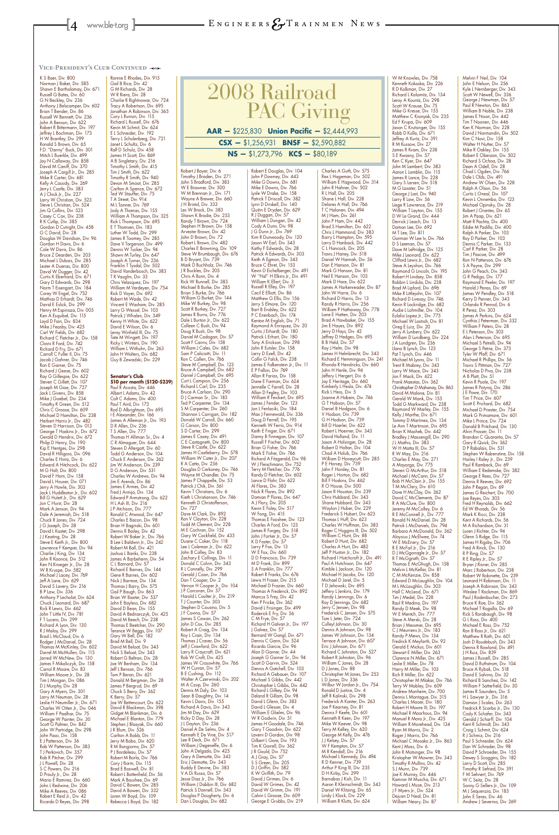K S Baer, Div. 800 Norman J Baker, Div. 585 Shawn E Bartholomay, Div. 671 Russell G Bates, Div. 60 G N Beckley, Div. 236 Anthony J Belscamper, Div. 602 Brian T Bender, Div. 86 Russell W Bennett, Div. 236 John A Benson, Div. 622 Robert R Bittermann, Div. 197 Jeffrey L Bochman, Div. 173 H W Brantley, Div. 299 Ronald S Brown, Div. 65 F.D. "Danny" Buck, Div. 301 Mitch L Buerkle, Div. 499 Jay N Callaway, Div. 858 David M Caniff, Div. 370 Joseph A Cargill Jr., Div. 285 Mike R Carter, Div. 681 Kelly A Cassidy, Div. 269 Jerry L Castle, Div. 383 A J Chick Jr., Div. 227 Larry W Christian, Div. 523 Steve L Christian, Div. 524 Jim Q Collins, Div. 523 Casey C Cox, Div. 238 R K Cutlip, Div. 385 Gordon D Cutright, Div. 458 G C David, Div. 28 Douglas W Davidson, Div. 96 Gordon H Davis, Div. 6 Cole W Davis, Div. 86 Bruce Z Dearden, Div. 203 Michael L Dubois, Div. 285 Lester A Duenas, Div. 800 David W Dugger, Div. 42 Curtis K Eberhard, Div. 671 Gary D Edwards, Div. 298 Norm T Eisengart, Div. 184 Corey W Engel, Div. 752 Mathias D Erhardt, Div. 746 David E Eslick, Div. 299 Henry M Espinoza, Div. 005 Ken A Esquibel, Div. 115 Loyd D Fain, Div. 834 Mike J Feasby, Div. 425 Carl W Fields, Div. 682 Richard C Fletcher Jr., Div. 158 Clovis R Ford, Div. 742 Richard D Fry, Div. 671 Carroll C Fuller II, Div. 75 Jacob J Gahner, Div. 746 Ron E Garner, Div. 75 Richard J Geese, Div. 602 Ray G Gillespie, Div. 622 Steven C Gillett, Div. 107 Joseph M Gioe, Div. 727 Jack L Givens, Div. 858 Mike J Goebel, Div. 234 Timothy R Green, Div. 512 Chris Ć Groose, Div. 609 Michael D Hamilton, Div. 238 Herbert Harris Jr., Div. 482 Steven D Harrison, Div. 013 George T Haskins Jr., Div. 672 Gerald D Hendrix, Div. 672 Philip D Henry, Div. 190 Kip E Hentges, Div. 298 David R Hilligoss, Div. 096 Charles E Hintz, Div. 6 Edward A Hitchcock, Div. 622 M G Holt, Div. 800 David F Horn, Div. 158 David L Houser, Div. 071 Jerry A Howle, Div. 303 Jack L Huddleston Jr., Div. 602 Bill G Hulett Jr., Div. 629 Jon C Hurst, Div. 28 Mark A Jenson, Div. 94 Dale A Jeremiah, Div. 518 Chuck R Jones, Div. 724 J G Joseph, Div. 28 David L Kastet, Div. 298 J J Keating, Div. 28 Steve E Keith Jr., Div. 800 Lawrence F Kemper, Div. 94 Charlie J King, Div. 134 John R Koonce, Div. 512 Ken N Kroeger Jr., Div. 28 W R Kruspe, Div. 582 Michael J Lacey, Div. 769 Jeff A Lane, Div. 629 David S Lavery, Div. 216 B P Law, Div. 336 Anthony P Lecholat, Div. 624 Chuck J Leonard, Div. 687 Rick R Lewis, Div. 462 John T Little IV, Div. 781 F T Lucero, Div. 299 Richard A Lyon, Div. 130 R J Maloy, Div. 299 Brad L McCloud, Div. 6 Rodger J McDaniel, Div. 28 Thomas M McKinley, Div. 602 Darrel M McMullen, Div. 115 Jarred W McNew, Div. 130 James F Mikoliczyk, Div. 158 Carrol R Moore, Div. 83 William Moore Jr., Div. 28 Tim L Morgan, Div. 086 D J Murphy, Div. 28 Gary A Myers, Div. 301 Larry M Neuman, Div. 28 Leslie H Neumiller Jr., Div. 671 Charles W Otten Jr., Div. 046 William F Paalhar, Div. 75 George W Painter, Div. 30 Scott G Palmer, Div. 842 John W Partridge, Div. 298 John Passi, Div. 158 E J Patterson, Div. 36 Rob W Patterson, Div. 383 T J Perkovich, Div. 357 Rob R Pitcher, Div. 299 J L Powell, Div. 28 S C Powers, Div. 216 D Prouly Jr., Div. 28 Mario E Ramirez, Div. 660 John L Redwine, Div. 206 Mike A Reeves, Div. 086 Robert E Reid Jr., Div. 42 Ricardo D Reyes, Div. 298

Ronnie E Rhodes, Div. 915 Gail B Rice, Div. 42 G M Richards, Div. 28 W R Riera, Div. 28 Charlie R Rightnowar, Div. 724 Tracy A Robertson, Div. 695 Jonathan A Robinson, Div. 365 Cory L Runion, Div. 115 Richard L Russell, Div. 676 Kevin M Schmit, Div. 624 E L Schneider, Div. 192 Terry L Schulenberg, Div. 721 Janet L Schultz, Div. 6 Ralf D Schulz, Div. 458 James H Scott, Div. 869 A B Singletary, Div. 216 Timothy L Smith, Div. 415 Tim J Smith, Div. 622 Timothy R Smith, Div. 940 Devon M Smoot, Div. 285 Carlton A Spence, Div. 672 Ted W Stauffer, Div. 75 T A Street, Div. 914 M L Tanner, Div. 769 Jody A Thomas, Div. 155 William A Thompson, Div. 325 Rick L Thompson, Div. 695 E T Thomsen, Div. 183 Luther W Todd, Div. 299 James R Toomey, Div. 285 Dave V Torgerson, Div. 499 Dennis W Tucker, Div. 94 Shawn M Turley, Div. 647 Joseph A Turner, Div. 236 Franklin T Tysdal, Div. 502 David Vanderbosch, Div. 383 T R Vaughn, Div. 33 Chris Velasquez, Div. 197 William M Verdeyen, Div. 754 Rick D Voyer, Div. 692 Robert M Wade, Div. 42 Vincent E Washam, Div. 285 Larry G Wessel, Div. 103 Patrick J Whalen, Div. 349 Kenny H White, Div. 622 David E Wilson, Div. 6 Leroy Winfield III, Div. 75 Tate M Wingett, Div. 197 Ricky L Winters, Div. 190 William L Withuhn, Div. 263 John H Wolters, Div. 682 Guy B Zewadski, Div. 229

#### **Senator's Club \$10 per month (\$120-\$239)**

Stephen D Cousino, Div. 5 ), Div. 57 James S Cowan, Div. 262 John D Cox, Div. 285 Robert A Craig, Div. 134 Roy L Crain, Div. 134 Thomas J Craver, Div. 56 Jeff J Crawford, Div. 622 Larry R Craycraft, Div. 621 Rob W Croft, Div. 425 James W Crosswhite, Div. 766 W H Curran, Div. 57 B E Cushing, Div. 112 Walter A Czerwinski, Div. 202 M A Czup, Div. 260 Dennis M Daly, Div. 103 Sean B Daughtry, Div. 14 Kevin L Davis, Div. 155 Richard A Davis, Div. 343 Jim M Day, Div. 629 Ricky D Day, Div. 28 J L Dayton, Div. 236 Daniel A De Selms, Div. 4 Kenneth E De Vine, Div. 517 Lee R Deck, Div. 671 William J Degeneffe, Div. 6 John A Delgado, Div. 425 Gary A Demotte, Div. 343 Eric J Demotte, Div. 343 Buddy E Devine, Div. 383 V A Di Russo, Div. 57 Jesse Diaz Jr., Div. 766 William J Dobbin III, Div. 682 Patrick S Donnell, Div. 343 Douglas P Dougherty, Div. 6 Dan L Douglas, Div. 682

Paul R Acosta, Div. 446 Albert L Adams, Div. 42 Colt C Adams, Div. 400 Paul T Aird, Div. 173 Rod D Albrightson, Div. 695 I E Alexander, Div. 166 James A Alleman Jr., Div. 193 D R Allen, Div. 236 T S Allen, Div. 777 Thomas H Alliman Sr., Div. 4 C R Almaguer, Div. 644 Steven D Altergott, Div. 60 Todd G Anderson, Div. 104 Chuck E Anderson, Div. 362 Jim W Anderson, Div. 239 D G Anderson, Div. 531 Charles W Andrews, Div. 94 Jim E Arends, Div. 86 James E Armes, Div. 42 Fred J Armijo, Div. 134 Edward P Armstrong, Div. 622 H L Ash III, Div. 216 J P Atchison, Div. 777 Ronald C Atwood, Div. 647 Charles E Bacon, Div. 98 Brian H Baginski, Div. 601 Dennis R Bailey, Div. 42 Robert W Baker Jr., Div. 766 B Lee L Baldwin Jr., Div. 242 Robert M Ball, Div. 421 Joshua L Banks, Div. 238 James A Barbehenn, Div. 54 C L Barnard, Div. 57 Richard E Barnes, Div. 144 Gene R Barnes, Div. 602 Nick J Barrese, Div. 134 Thomas J Barry, Div. 575 Gail P Baugh, Div. 863 Brian W Baxter, Div. 537 John E Bayless, Div. 682 David D Bean, Div. 155 avid A Bednarczyk, Div David M Beech, Div. 238 Thomas E Beetcher, Div. 290 Terance W Beggs, Div. 107 Gary W Bell, Div. 182 Brad M Bell, Div. 9 David M Beloat, Div. 343 Nick S Beloat, Div. 343 Robert G Beltran, Div. 28 Joe W Benham, Div. 134 Jeff L Benson, Div. 766 Tom P Beran, Div. 621 Donald M Bergman, Div. 28 James P Bergrud, Div. 69 Chuck S Berry, Div. 362 K Berry, Div. 57 Joe W Bettencourt, Div. 622 David R Blackmon, Div. 398 Gidget M Blankman, Div. 6 Michael E Blanton, Div. 779 Stephen J Blasyak, Div. 660 J R Blum, Div. 526 Carlton A Bobb, Div. 11 Jerry M Bobo, Div. 620 R M Bongiorno, Div. 57 P J Bordeleau, Div. 57 Robert M Borla, Div. 766 Cory J Borm, Div. 115 Brad E Boswell, Div. 81 Robert L Bottenfield, Div. 56 Mark A Boushee, Div. 69 David C Bowen, Div. 285 David A Bowen, Div. 332 Loren W Boyd, Div. 109 Rebecca L Boyd, Div. 182

Donald W Carroll, Div. 660 G Carson, Div. 800 S D Carter, Div. 299 James E Casey, Div. 491 C E Castagnetti, Div. 800 Steve R Castle, Div. 622 James H Castleberry, Div. 578 William W Cater Jr., Div. 207 R A Catto, Div. 236 Douglas D Cerkoney, Div. 746 Wayne M Chandler, Div. 75 James P Chappelle, Div. 53 Patrick J Chik, Div. 561 Kevin T Christians, Div. 6 Kieth L Christianson, Div. 746 Kenneth D Christofferson,

Div. 727

Dave M Clark, Div. 892 Ron V Clayton, Div. 228 Todd M Clement, Div. 228 M E Cochran, Div. 152 Gary W Cockfield, Div. 435 Duane C Coker, Div. 118 Lee L Coleman Jr., Div. 622 John B Colley, Div. 83 Zachary E Collings, Div. 11 Donald C Colvin, Div. 343 R L Connelly, Div. 299 Gerald J Coon, Div. 766 Dan T Cooper, Div. 2 Vernon H Cooper Jr., Div. 104 J P Corcoran, Div. 57 Harold L Coulter Jr., Div. 219 T J Counter, Div. 303

Doug D Ferrell, Div. 195 Kenneth W Ferris, Div. 914 Keith E Finger, Div. 671 Danny B Finnegan, Div. 107 Russell F Fischer, Div. 602 Brian G Fisher, Div. 766 Mark E Fisher, Div. 766 Richard A Fitzgerald, Div. 98 W J Fleischmann, Div. 752 Terry M Fletcher, Div. 776 Randy D Fletcher, Div. 602 Lance D Flohr, Div. 622 Al Flores, Div. 383 Nick R Flores, Div. 892 Damian P Flores, Div. 647 A J Flory, Div. 205 Kevin E Foley, Div. 517 W Fong, Div. 415 Thomas E Fooshee, Div. 123 Charles A Ford, Div. 123 James R Forgey, Div. 518 John J Fortier Jr., Div. 57 K D Foster, Div. 57 Larry P Fox, Div. 13 W E Fox, Div. 660 D D Francisco, Div. 739 M D Frank, Div. 899 S A Franklin, Div. 777 Robert R Franks, Div. 676 Lewis H Fraser, Div. 215 Michael D Frazier, Div. 660 Thomas A Frederick, Div. 892 Marcus S Frey, Div. 42 Ken P Fricke, Div. 362 David L Frisinger, Div. 499

Roderick E Fry, Div. 56 C M Frye, Div. 57 Richard H Galvan Jr., Div. 197 J Galvez, Div. 57 Bernard W Gangl, Div. 671 Dennis C Gann, Div. 524 Ricardo Garcia, Div. 96 Alan D Garner, Div. 44 Joseph G Garner Sr., Div. 94 Scott D Garvin, Div. 524 Dennis A Gatchell, Div. 103 Richard A Gebauer, Div. 107 Michael S Gibbs, Div. 442 Christopher L Gibbs, Div. 442 Richard L Gilkey, Div. 94 Deland R Gillam, Div. 98 David L Glenn, Div. 383 David L Glesser, Div. 4 William E Glielmi, Div. 96 W R Godwin, Div. 51 James H Goodale, Div. 746 Gary T Goodvin, Div. 622 Lavern D Gordon, Div. 98 Gilbert L Gore, Div. 193 Tim K Gorrell, Div. 362 J R Gould, Div. 752 A J Gray, Div. 57 S S Green, Div. 205 D J Griffin, Div. 582 K W Griffith, Div. 79 David J Grimes, Div. 6 David W Grimes, Div. 42 David W Grimm, Div. 191 Calvin L Groose, Div. 609 George E Grubbs, Div. 219

Charles A Guth, Div. 575 Rex L Hageman, Div. 502 William E Hagwood, Div. 314 John R Hahner, Div. 502 R L Hall, Div. 205 Shane L Hall, Div. 228 Delores A Hall, Div. 766 T C Halonen, Div. 494 M J Ham, Div. 261 John P Ham, Div. 442 Brad S Hamilton, Div. 622 Chris L Hammond, Div. 383 Barry L Hampton, Div. 595 Larry D Hanback, Div. 442 C L Hancock, Div. 205 Travis J Haney, Div. 518 Daniel W Hannah, Div. 56 Dan E Hanson, Div. 81 Mark G Hanson, Div. 81 Neil E Hanson, Div. 103 Mark D Hare, Div. 622 James A Harkenreader, Div. 87 John W Harre, Div. 6 Richard D Harris, Div. 13 Randy R Harris, Div. 256 William P Hathaway, Div. 778 Lane E Hatten, Div. 203 Brad A Hawbaker, Div. 155 Jim E Hayes, Div. 892 Jerry D Hays, Div. 42 Jeffrey D Hedges, Div. 695 B B Held, Div. 57 Roy J Helm, Div. 98 James H Helmbrecht, Div. 343 Richard E Hemmingson, Div. 241 Rhonda R Hendricks, Div. 660 John H Henle, Div. 94 Jeffery L Hergert, Div. 6 Jay E Heritage, Div. 660 Kimberly L Hesla, Div. 474 Rick L Hess, Div. 5 Joanne A Hobein, Div. 746 G T Hobson, Div. 57 Daniel B Hodgson, Div. 6 V Hodson, Div. 739 G H Hodson, Div. 739 Bill D Hoerler, Div. 622 Robert L Hoerner, Div. 343 David Holland, Div. 11 Jason A Holsinger, Div. 28 Robert D Holton, Div. 104 Chad A Holub, Div. 766 William D Honeycutt, Div. 285 P E Horsey, Div. 739 John F Horsley, Div. 81 Roger L Horton, Div. 682 Bill F Hoskins, Div. 462 R O House, Div. 500 Jason R Houston, Div. 239 Chris Hubbard, Div. 343 Shane Hubbard, Div. 343 Waylon J Huber, Div. 229 Frederick S Hubert, Div. 623 Thomas L Huff, Div. 623 Charles W Huffman, Div. 383 Roger C Huggins III, Div. 502 William C Hunt, Div. 88 Robert D Hunt, Div. 682 Charles A Hurt, Div. 482 Jeff P Huston Jr., Div. 182 Richard I Hutchcroft Jr., Div. 491 Paul A Hutchison, Div. 647 Kimble L Jackson, Div. 120 Michael H Jacobs, Div. 120 Michael D Jarel, Div. 5 T D Jehowski, Div. 695 Jeffery L Jenkins, Div. 179 Randy L Jennings, Div. 6 Roy D Jennings, Div. 682 Jerry C Jensen, Div. 98  $F_{radarich} \cap F_{oncon}$ Tom L Jeter, Div. 724 Culleyl Johnson, Div. 30 Dennis A Johnson, Div. 98 James W Johnson, Div. 134 Terrace A Johnson, Div. 607 Eric J Johnson, Div. 671 Richard C Johnston, Div. 527 Robert R Johnston, Div. 96 William C Jones, Div. 28 D J Jones, Div. 88 Christopher M Jones, Div. 253 L D Jones, Div. 336 Wilbur W Jordan Jr., Div. 754 Ronald D Justice, Div. 4 Jeff R Kalinski, Div. 298 Frederick A Kanter, Div. 263 Joe P Kearney, Div. 81 Dennis F Keefe, Div. 601 Kenneth R Keen, Div. 197 Mike W Keever, Div. 98 Terry M Kelley, Div. 620 George M Kelly, Div. 476 J J Kelsey, Div. 57 W F Kempton, Div. 57 M R Kendall, Div. 216 Michael L Kennedy, Div. 494 R D Kenner, Div. 739 Arthur P King III, Div. 235 D H Kirby, Div. 299 Barnabas J Kish, Div. 11 Aaron R Kleinschmidt, Div. 343 Daniel W Klitzing, Div. 65 Lindy L Klock, Div. 229 William R Klutts, Div. 624

Robert J Boyer, Div. 6 Timothy J Braden, Div. 271 John S<sup>'</sup>Bradford, Div. 383 W E Brawner, Div. 500 W M Brennan Ir., Div. 171 Wayne A Brewer, Div. 660 J H Bristol, Div. 333 Les W Brock, Div. 383 Shawn K Brodie, Div. 253 Randy T Brown, Div. 724 Stephen H Brown, Div. 158 Arvester Brown, Div. 42 John D Brown, Div. 72 Robert L Brown, Div. 482 Charles E Browning, Div. 109 Steve W Brumbaugh, Div. 676 B D Bryant, Div. 739 Mark D Buchholz, Div. 746 J R Buckles, Div. 205 Chris A Bunn, Div. 4 Rick W Bunnell, Div. 383 Michael B Burke, Div. 285 Brian S Burke, Div. 766 William G Burket, Div. 144 Mike W Burkey, Div. 98 Scott R Burkey, Div. 727 James R Burns, Div. 776 Dale L Burton Jr., Div. 622 Colleen C Bush, Div. 94 Doug R Bush, Div. 98 Daniel M Cadogan, Div. 57 Scott F Cairns, Div. 158 William J Cales, Div. 682 Sam P Caliciotti, Div. 11 Ron C Callen, Div. 766 Steve M Campbell, Div. 123 Bruce A Campbell, Div. 682 Daniel J Campbell, Div. 695 Curt L Campion, Div. 256 Richard L Carl, Div. 235 Bruce A Carlson, Div. 290 D J Carman Sr., Div. 183 Ted P Carpenter, Div. 134 S M Carpenter, Div. 260 Shannon L Carrigan, Div. 182 Robert E Douglas, Div. 104 John P Downey, Div. 443 Mike G Downs, Div. 681 Mike E Downs, Div. 766 Lysle W Drake, Div. 158 Patrick T Driscoll, Div. 382 Lynn D Driskell, Div. 140 Quitin E Dryden, Div. 629 R J Duggan, Div. 57 William L Dungan, Div. 42 Cody A Dunn, Div. 98 J G Dunn Jr., Div. 769 Kim R Dunwoody, Div. 120 Jason W Earl, Div. 343 Kathy F Edwards, Div. 28 Patrick A Edwards, Div. 303 Keith A Egmon, Div. 343 Bruce C Ehret, Div. 153 Kevin D Eichelberger, Div. 491 W ''Hal'' H Elkins Jr., Div. 491 William K Ellert, Div. 3 Russell R Elley, Div. 197 Cecil E Elliott, Div. 86 Matthew G Ellis, Div. 156 Jerry S Elmore, Div. 120 Bart B Endsley, Div. 622 P C Enenbach, Div. 174 Kenton M English, Div. 71 Raymond A Enriquez, Div. 20 Curtis J Erhardt, Div. 180 Patrick L Erhart, Div. 180 Tony A Erickson, Div. 298 John R Eutsler, Div. 158 Larry D Ezell, Div. 42 Collin G Falck, Div. 238 James E Falkenstein Jr., Div. 11 E P Fallon, Div. 769 Allan R Farias, Div. 158 Dane E Farman, Div. 624 Jennelle C Farrell, Div. 28 Allan D Fegley, Div. 103 William R Feickert, Div. 695 James J Fender, Div. 123 Jon L Fenlaciki, Div. 184 Max J Fennewald, Div. 336 2008 Railroad PAC Giving **AAR —** \$225,830 **Union Pacific —** \$2,444,993 **CSX —** \$1,256,931 **BNSF —** \$2,590,882 **NS —** \$1,273,796 **KCS —** \$80,189

W M Knowles, Div. 758 Kenneth Kokoska, Div. 226 R D Kolkman, Div. 27 Richard L Kolomitz, Div. 134 Leroy A Kountz, Div. 298 Scott W Krause, Div. 75 Mike G Kresse, Div. 155 Matthew C Kronyak, Div. 235 Ed F Krupa, Div. 609 Jason C Krutsinger, Div. 155 Robb D Kulla, Div. 671 Jeffrey A Kurtz, Div. 391 R M Kussow, Div. 27 James R Kvam, Div. 238 S E Kwasny, Div. 57 Ken C Kyer, Div. 647 John M Lambert, Div. 383 Aaron L Lamblin, Div. 115 James R Lance, Div. 228 Gary S Larsen, Div. 518 M G Lasater, Div. 51 George J Last, Div. 940 Larry R Law, Div. 56 Liege R Lawrence, Div. 219 William T Layton, Div. 155 D W Le Grand, Div. 444 Derrick J Leach, Div. 13 Damon Lee, Div. 692 M T Lee, Div. 811 Gorman W Lee Iv, Div. 766 D S Leeman, Div. 57 Dave M Leftridge, Div. 125 Mike J Leonard, Div. 622 Clifford Lewis Jr., Div. 682 Steve A Leyshon, Div. 766 Raymond G Lincoln, Div. 195 Robert H Lindsey, Div. 858 Robbin L Lindula, Div. 238 Brad M Lipford, Div. 696 Mike R Littlejohn, Div. 107 Richard D Livesay, Div. 746 Kevin R Lockridge, Div. 682 Audie L Lohmiller, Div. 104 Eulalio Lopez Jr., Div. 775 Michael W Lostroh, Div. 81 Greg E Luiz, Div. 20 Jerry A Lunbery, Div. 622 William D Lundberg, Div. 224 J A Lundgren, Div. 236 Llano B Lynch, Div. 123 Pat T Lynch, Div. 446 Michael M Lyons, Div. 11 Trent R Mabrey, Div. 343 Larry W Mace, Div. 343 Jon F Mack, Div. 622 Frank Maestas, Div. 362 Christtopher D Mahanay, Div. 863 David M Malone, Div. 81 Gerald W Mank, Div. 155 Todd G Markward, Div. 238 Raymond W Marley, Div. 155 Kelly J Marthe, Div. 671 Tommy D Martinez, Div. 134 Le Ann T Martinson, Div. 695 Brian K Mashek, Div. 442 Bradley J Massengill, Div. 290 J L Mathis, Div. 383 W H Matta III, Div. 57 R W May, Div. 216 Charles E May, Div. 271 A Mayorga, Div. 775 Steven G McArthur, Div. 518 Michael J McCann, Div. 57 Bob H McClain Jr., Div. 155 T M McClary, Div. 610 Dave H McClay, Div. 362 David C McClements, Div. 87 R A McClure, Div. 800 Jeremy M McColley, Div. 6 R E McConnell Jr., Div. 777 Ronald N McDaniel, Div. 28 Patrick L McDaniels, Div. 794 Barbara A McDonald, Div. 362 Aloysius J McElwee, Div. 74 W É McEnery, Div. 57 R E McFail Jr., Div. 216 D J McGgonagle Jr., Div. 57 R T McGgrath, Div. 57 Thomas E McGhugh, Div. 158 Melvin L McKellar, Div. 81 C M McKenzie, Div. 858 Edward D McLaughlin, Div. 104 M L McLaughlin, Div. 303 Hall C McLeod, Div. 671 Tim J Medel, Div. 228 Raul R Medina, Div. 197 Randy D Meek, Div. 98 W E Mentch, Div. Steve A Merski, Div. 28 Brian J Messmer, Div. 695 C J Meurrens Jr., Div. 183 Randy P Mews, Div. 134 Fredrick K Meyfarth, Div. 92 Gerald E Mickus, Div. 601 Stewart E Miller, Div. 263 Clarence N Miller, Div. 671 Leslie E Miller, Div. 78 Harry M Miller, Div. 103 Rich R Miller, Div. 622 Christopher M Mlakar, Div. 766 Terry W Mobley, Div. 609 Andrew Monheim, Div. 700 Dennis L Montague, Div. 315 Charles L Mooer, Div. 180 Robert H Moore III, Div. 197 Michael R Moorhous, Div. 94 Manuel R Mora Jr., Div. 425 William R Morehead, Div. 134 Ryan M Morris, Div. 2 Roger | Morris, Div. 766 Michael C Mosako Jr., Div. 863 Kent J Moss, Div. 6 John R Motsinger, Div. 98 Kristopher W Mowrer, Div. 343 Timothy R Mullins, Div. 42 S J Munn, Div. 739 Joe K Murray, Div. 446 Kamron M Muscha, Div. 671 Howard L Muse, Div. 213 J F Myers Jr., Div. 524 Dejuan D Neal, Div. 81 William Neary, Div. 87

Melvin F Neil, Div. 104 John E Nelson, Div. 256 Kyle L Nernberger, Div. 343 Scott W Newell, Div. 336 George J Newman, Div. 57 Paul R Newton, Div. 863 William B Noble, Div. 238 James E Noon, Div. 442 Tim T Noonen, Div. 446 Ken K Norman, Div. 228 David J Normandin, Div. 502 Kim C Novi, Div. 158 Walter H Nutter, Div. 57 Mike R Oakley, Div. 155 Robert E Oberzan, Div. 502 Richard S Ochoa, Div. 28 Dean A Odell, Div. 28 Chad L Ogden, Div. 766 Dale L Olds, Div. 491 Andrew W Olsen, Div. 228 Ralph A Olson, Div. 56 Curtis L Oneal, Div. 107 Kevin L Onnembo, Div. 123 Michael Opinsky, Div. 28 Robert J Orantes, Div. 65 Jim A Paap, Div. 621 Matt R Pachta, Div. 400 Eddie M Padilla, Div. 400 Ralph A Parker, Div. 103 Roy D Parker, Div. 103 Dennis C Parker, Div. 133 Carl R Parker, Div. 28 Tim J Pascoe, Div. 499 Ron N Patterson, Div. 676 S A Payne, Div. 299 John G Peach, Div. 343 G R Pedigo, Div. 177 Raymond E Peeler, Div. 197 Harold J Penas, Div. 69 James W Pendley, Div. 518 Kerry D Penner, Div. 343 Orlando R Penrod, Div. 6 R Perez, Div. 303 James A Perkins, Div. 624 Cynthia J Peterman, Div. 332 William F Peters, Div. 28 E L Peterson, Div. 303 Alan L Peterson, Div. 695 Michael S Petrelli, Div. 94 George S Petrie, Div. 373 Tyler W Pfaff, Div. 671 Michael R Phillips, Div. 56 Travis S Pittman, Div. 727 Nicholas D Piva, Div. 238 A B Platt, Div. 51 Kevin R Poole, Div. 197 James R Potyraj, Div. 286 J E Powe, Div. 170 Tim T Price, Div. 607 Scott E Prichard, Div. 682 Michael D Priester, Div. 754 Mark G Primamore, Div. 601 Mike L Prince, Div. 724 Donald B Pritchard, Div. 130 Alvin Prosser, Div. 11 Brandon C Quaranto, Div. 57 Gary R Quick, Div. 362 D P Rabalais, Div. 531 Stephen W Rabenstine, Div. 158 Harley I Raley Jr., Div. 239 Paul R Rambeck, Div. 69 William E Redemske, Div. 382 George E Rees, Div. 727 Dennis R Reeves, Div. 692 John P Regan, Div. 69 James G Reichert, Div. 700 Joe Reyes, Div. 303 Fred H Reynolds, Div. 662 Ed W Rhoads, Div. 56 Mark K Ricci, Div. 238 Kent A Richards, Div. 56 M A Richardson, Div. 31 Loren J Richter, Div. 94 Glenn S Ridge, Div. 115 James H Rigsby, Div. 706 Fred A Rinck, Div. 130 R P Ring, Div. 57 R E Ripley Jr., Div. 57 Bryan J Risner, Div. 285 Marc J Robertson, Div. 238 Robert W Robinette, Div. 239 Leonard H Robinson, Div. 11 Joseph A Robinson, Div. 343 Weslee T Rockman, Div. 869 Paul J Rodenbucher, Div. 273 Bruce K Roe, Div. 362 Michael T Rogalla, Div. 69 Rick S Rorabaugh, D G L Ross, Div. 400 Michael E Ross, Div. 752 Ron B Ross Jr., Div. 621 Matthew R Roth, Div. 601 Josh D Roudebush, Div. 343 Dennis R Rowland, Div. 491 J H Ruiz, Div. 839 James J Russell, Div. 285 David D Ruthstrom, Div. 104 Bruce A Rybak, Div. 518 David E Salvino, Div. 32 Richard B Sanchez, Div. 142 William F Satterfield, Div. 30 James R Saunders, Div. 5 H L Sawyer Jr., Div. 316 Damion J Scales, Div. 263 Fredrick R Scarbo Jr., Div. 130 Cody K Schafer, Div. 343 Gerald J Scharff, Div. 104 Kent R Schmidt, Div. 343 Craig L Schmit, Div. 624 R J Schmiz, Div. 216 Paul S Schneider, Div. 624 Dan W Schrader, Div. 98 David P Schroeder, Div. 155 Dewey S Scoggins, Div. 182 Larry D Scott, Div. 285 Timothy R Sefried, Div. 391 F M Sehnert, Div. 769 W C Seitz, Div. 28 Sonny G Sellers Jr., Div. 109 M J Sequenzia, Div. 183 John E Seres, Div. 46 Andrew J Severino, Div. 269

#### **Vice-President's Club Continued** •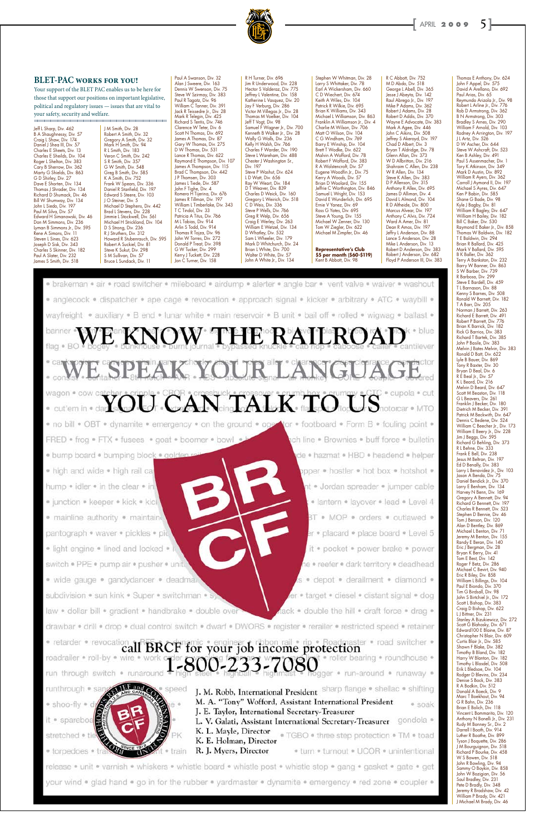Jeff L Sharp, Div. 462 B A Shaughnessy, Div. 57 Craig L Shaw, Div. 174 Daniel J Shea III, Div. 57 Charles E Sheets, Div. 13 Charles E Sheilds, Div. 104 Roger L Shelton, Div. 383 Cary B Sherrow, Div. 362 Marty G Shields, Div. 863 G D Shirley, Div. 27 Dave E Shorten, Div. 134 Thomas J Shrader, Div. 134 Richard D Shumack, Div. 46 Bill W Shumway, Div. 134 John L Siedo, Div. 197 Paul M Silva, Div. 57 Edward H Simanowski, Div. 46 Don M Simmons, Div. 236 Lyman B Simmons Jr., Div. 595 Rene A Simons, Div. 11 Steven L Sines, Div. 623 Joseph D Sisk, Div. 343 Charles S Skinner, Div. 182 Paul A Slater, Div. 232 James S Smith, Div. 518

J M Smith, Div. 28 Robert A Smith, Div. 32 Gregory A Smith, Div. 32 Mark H Smith, Div. 94 R L Smith, Div. 183 Veron C Smith, Div. 242 S R Smith, Div. 357 G W Smith, Div. 548 Greg B Smith, Div. 585 K A Smith, Div. 752 Frank W Spears, Div. 336 Daniel R Stanfield, Div. 197 Edward S Steere, Div. 103 J O Steiner, Div. 5 Michael D Stephens, Div. 442 Brad L Stevens, Div. 228 Jimmie L Stockwell, Div. 561 Michael H Strickland, Div. 104 D S Strong, Div. 236 R J Struthers, Div. 312 Howard R Stubenrauch, Div. 595 Robert A Suckiel, Div. 81 Steve K Sukut, Div. 298 S M Sullivan, Div. 57 Bruce L Sundack, Div. 11

R H Turner, Div. 696 Jim R Underwood, Div. 228 Hector S Valderaz, Div. 775 Jeffrey L Valentine, Div. 158 Katherine L Vasquez, Div. 20 Jay F Verburg, Div. 286 Victor M Villegas Jr., Div. 28 Thomas M Voelker, Div. 104 Jeff T Vogt, Div. 98 Samuel F Wagner Jr., Div. 700 Kenneth B Walker Jr., Div. 28 Wally G Walls, Div. 236 Kelly H Walsh, Div. 766 Charles F Warder, Div. 190 Steve L Wareham, Div. 488 Chester J Washington Sr., Div. 197 Steve P Washut, Div. 624 L D Watt, Div. 656 Ray W Weart, Div. 184 D T Weaver, Div. 839 Charles D Weick, Div. 160 Gregory L Weirich, Div. 518 C D Weis, Div. 336 Steve P Wells, Div. 766 Greg R Welp, Div. 656 Craig E Werley, Div. 263 William E Wetzel, Div. 134 D Whatley, Div. 532 Sam L Wheeler, Div. 179 Mark D Whitchurch, Div. 24 Brian L White, Div. 700 Walter D White, Div. 57 John A White Jr., Div. 134

Paul A Swanson, Div. 32 Alan J Sweere, Div. 163 Dennis W Swenson, Div. 75 Steve W Szirmay, Div. 383 Paul R Tagatz, Div. 96 William C Tanner, Div. 391 Jack R Teissedre Jr., Div. 28 Mark R Telegin, Div. 425 Richard S Tentis, Div. 746 Clarence W Teter, Div. 6 Scott N Thomas, Div. 692 James A Thomas, Div. 87 Gary W Thomas, Div. 275 D W Thomas, Div. 531 Lance R Thomas, Div. 622 Raymond E Thompson, Div. 107 James A Thompson, Div. 115 Brad C Thompson, Div. 442 J P Thomsen, Div. 303 James L Tiede, Div. 587 John F Tighe, Div. 4 Romero H Tijerina, Div. 676 James R Tillman, Div. 197 William L Timberlake, Div. 343 T C Tindol, Div. 33 Patricia A Titus, Div. 766 M L Tobias, Div. 914 Arlin S Todd, Div. 914 Thomas R Tojza, Div. 96 John W Torres, Div. 272 Donald P Treat, Div. 398 G W Tucker, Div. 299 Kerry J Tuckett, Div. 228 Jon C Turner, Div. 158

Stephen W Whitman, Div. 28 Larry S Whittaker, Div. 78 Earl A Wickersham, Div. 660 C D Wiechert, Div. 674 Keith A Wiles, Div. 104 Patrick R Wilkie, Div. 695 Brian K Williams, Div. 343 Michael L Williamson, Div. 863 Franklin A Williamson Jr., Div. 4 Charlie M Wilson, Div. 706 Matt O Wilson, Div. 104 C G Windham, Div. 769 Barry E Winship, Div. 104 Brett T Wodke, Div. 622 Malvin A Wofford, Div. 78 Robert F Wofford, Div. 383 R A Wolstencroft, Div. 57 Eugene Woodfin Jr., Div. 75 Kerry A Woods, Div. 57 Brian D Woolard, Div. 155 Jeffrie C Worthington, Div. 846 Samuel L Wright, Div. 153 David E Wunderlich, Div. 695 Ernie V Yanez, Div. 69 Ross G Yates, Div. 695 Steve A Young, Div. 155 Michael W Zenner, Div. 130 Tom W Ziegler, Div. 622 Michael M Zimpfer, Div. 46

**Representative's Club \$5 per month (\$60-\$119)** Kent B Abbott, Div. 98

R C Abbott, Div. 752 M D Abdo, Div. 518 George L Abell, Div. 365 Jesse J Abeyta, Div. 142 Raul Abrego Jr., Div. 197 Mike P Adams, Div. 362 Robert J Adams, Div. 28 Robert D Addis, Div. 370 Wayne E Advocate, Div. 383 Mark A Agee, Div. 446 John C Aikins, Div. 508 Jeffrey S Akeroyd, Div. 197 Chad D Albert, Div. 3 Bryan T Aldridge, Div. 78 Glenn Allan, Div. 373 W D Allbritton, Div. 216 Shahraim C Allen, Div. 238 W R Allen, Div. 134 Steve K Allen, Div. 383 D P Allenson, Div. 315 Anthony R Allex, Div. 695 James D Alliman, Div. 4 David L Almond, Div. 104 R D Altheide, Div. 800 Marcus Alvear, Div. 197 Anthony C Alvis, Div. 724 Ward A Amer, Div. 81 Dean R Amos, Div. 197 Jeffry L Anderson, Div. 88 Lance S Anderson, Div. 28 Mike L Anderson, Div. 13 Robert D Anderson, Div. 383 Robert J Anderson, Div. 682 Floyd P Anderson III, Div. 383

• brakeman • air • road switcher • mileboard • airdump • alerter • angle bar • vent valve • waiver • washout • anglecock • dispatcher • ape cage • revocation • approach signal • kicker • arbitrary • ATC • waybill • wayfreight . auxiliary . B end . lunar white . main reservoir . B unit . bail off . rolled . wigwag . ballast . banner flag • BC EAK YOUR · cupola · cut wagon . cow c ĽА · cut'em in · darl iotoicar ● MTO • no bill • OBT • dynamite • emergency • on the ground • ope for • footboard • Form B • fouling point • FRED • frog • FTX • fusees • goat • boomer • bowl • pch line . Brownies . buff force . bulletin · bump board · bumping block · golden de • hazmat • HBD • headend • helper ppper . hostler . hot box . hotshot . • high and wide • high rail ca hump . idler . in the clear . in nt • Jordan spreader • jumper cable • junction • keeper • kick • kicli · lantern · layover · lead · Level 4 · mainline authority · maintaine BT . MOP . orders . outlawed . pantograph · waver · pickles · pic er • placard • place board • Level 5 • light engine • lined and locked • it . pocket . power brake . power switch . PPE . pump air . pusher . unit he • reefer • dark territory • deadhead · wide gauge · gandydancer · deadman is . depot . derailment . diamond . subdivision . sun kink . Super . switchman . s. er • target • diesel • distant signal • dog law . dollar bill . gradient . handbrake . double over ack . double the hill . draft force . drag . drawbar . drill . drop . dual control switch . dwarf . DWORS . register . rerailer . restricted speed . retainer • retarder • revocation all BRCF for your job income protection roadrailer \* roll-by \* wire \* work order 800-233-7080 roadrailer · roll-by · wire · wo roller bearing . roundhouse . gger · run-around · runaway · REAL PROPERTY J. M. Robb, International President Sharp flange . shellac . shifting runthrough . sar speed M. A. "Tony" Wofford, Assistant International President · shoo-fly · soak J. E. Taylor, International Secretary-Treasurer L. V. Galati, Assistant International Secretary-Treasurer gondola . spareboa K. L. Mayle, Director . TGBO . three step protection . TM . toad stretched • tie K. E. Holman, Director R. J. Myers, Director · turn · turnout · UCOR · unintentional · torpedoes · · train release . unit . varnish . whiskers . whistle board . whistle post . whistle stop . gang . gasket . gate . get your wind . glad hand . go in for the rubber . yardmaster . dynamite . emergency . red zone . coupler .

Thomas E Anthony, Div. 624 John F Appel, Div. 575 David A Arellano, Div. 692 Paul Arias, Div. 65 Reymundo Arizola Jr., Div. 98 Robert L Arline Jr., Div. 776 Rob D Armstrong, Div. 362 B N Armstrong, Div. 303 Bradley S Arnes, Div. 290 William F Arnold, Div. 103 Rodney A Arrington, Div. 197 J L Artz, Div. 526 D W Ascher, Div. 644 Steve W Ashcraft, Div. 523 Ken B Ashley, Div. 491 Paul S Assenmacher, Div. 1 Tory K Atkinson, Div. 349 Mark D Austin, Div. 892 William R Ayers, Div. 362 Carroll J Aymond II, Div. 197 Michael S Ayres, Div. 647 Ken P Babin, Div. 585 Shane G Bade, Div. 98 Kyle J Bagby, Div. 81 William R Bagley, Div. 647 William H Bailey, Div. 182 Bill C Baker, Div. 530 Raymond E Baker Jr., Div. 858 Thomas W Baldwin, Div. 182 T E Baldwin, Div. 294 Brian R Ballard, Div. 425 Mark V Ballard, Div. 595 B K Baller, Div. 362 Terry A Bankston, Div. 232 Barry W Banner, Div. 863 S W Barber, Div. 739 R Barbosa, Div. 299 Steve E Bardell, Div. 459 T L Barnason, Div. 88 Kenny S Barnes, Div. 508 Ronald W Barnett, Div. 182 T A Barr, Div. 205 Norman J Barrett, Div. 263 Richard E Barrett, Div. 491 Robert P Barrett, Div. 776 Brian K Barrick, Div. 182 Rick G Barrios, Div. 383 Richard T Bartek, Div. 385 John P Basile, Div. 383 Melvin J Bates Melvin, Div. 383 Ronald D Batt, Div. 622 Lyle B Bauer, Div. 869 Tony R Baxter, Div. 30 Bryan D Beal, Div. 6 R E Beal Jr., Div. 57 K L Beard, Div. 216 Melvin D Beard, Div. 647 Scott M Beaston, Div. 118 G L Beavers, Div. 261 Franklin J Becker, Div. 180 Dietrich M Becker, Div. 391 Patrick M Beckwith, Div. 647 Dennis C Bedene, Div. 524 William C Beecher Jr., Div. 173 William E Beery Jr., Div. 228 Jim J Beggs, Div. 595 Richard G Behling, Div. 373 R L Behne, Div. 333 Frank E Bell, Div. 238 Jesus M Beltran, Div. 197 Ed D Benally, Div. 383 Larry L Benavidez Jr., Div. 103 Jason A Benda, Div. 75 Daniel Bendick Jr., Div. 370 Larry E Benham, Div. 134 Harvey N Benn, Div. 169 Gregory A Bennett, Div. 94 Richard G Bennett, Div. 197 Charles R Bennett, Div. 523 Stephen D Bennie, Div. 46 Tom J Benson, Div. 120 Alan D Bentley, Div. 869 Michael L Benton, Div. 71 Jeremy M Benton, Div. 155 Randy E Beran, Div. 140 Eric J Bergman, Div. 28 Bryan K Berry, Div. 41 Tom E Best, Div. 142 Roger F Betz, Div. 286 Michael C Bevirt, Div. 940 Eric R Biley, Div. 858 William L Billings, Div. 104 Paul E Biondo, Div. 370 Tim G Birdsall, Div. 98 John S Birtchiel Jr., Div. 172 Scott L Bishop, Div. 383 Craig D Bishop, Div. 622 . 23 I Stanley A Bizukiewicz, Div. 272 Scott G Blahosky, Div. 671 Edward100 E Blaine, Div. 87 Christopher N Blair, Div. 609 Curtis Blair Jr., Div. 585 Shawn F Blake, Div. 382 Timothy B Bland, Div. 182 Harry W Blanton, Div. 182 Timothy L Blasdel, Div. 508 Erik L Bledsoe, Div. 104 Rodger D Blevins, Div. 234 Denise S Bock, Div. 383 R A Bodkin, Div. 512 Donald A Boeck, Div. 9 Marc T Boekhout, Div. 94 G R Bohn, Div. 236 Brian E Bolich, Div. 118 Vincent L Bommarito, Div. 120 Anthony N Bonelli Jr., Div. 231 Rudy M Bonney Sr., Div. 2 Darrell I Booth, Div. 914 Luther R Boothe, Div. 899 Tyson J Boquette, Div. 286 J M Bourguignon, Div. 518 Richard P Bourke, Div. 458 W S Bowen, Div. 518 John R Bowling, Div. 94 Sammy O Boykin, Div. 858 John W Bozigian, Div. 56 Saul Bradley, Div. 231 Pete D Bradly, Div. 348 Jeremy R Bradshaw, Div. 42 William P Brady, Div. 421 J Michael M Brady, Div. 46

#### **BLET-PAC works for you!**

Your support of the BLET PAC enables us to be here for those that support our positions on important legislative, political and regulatory issues — issues that are vital to your safety, security and welfare.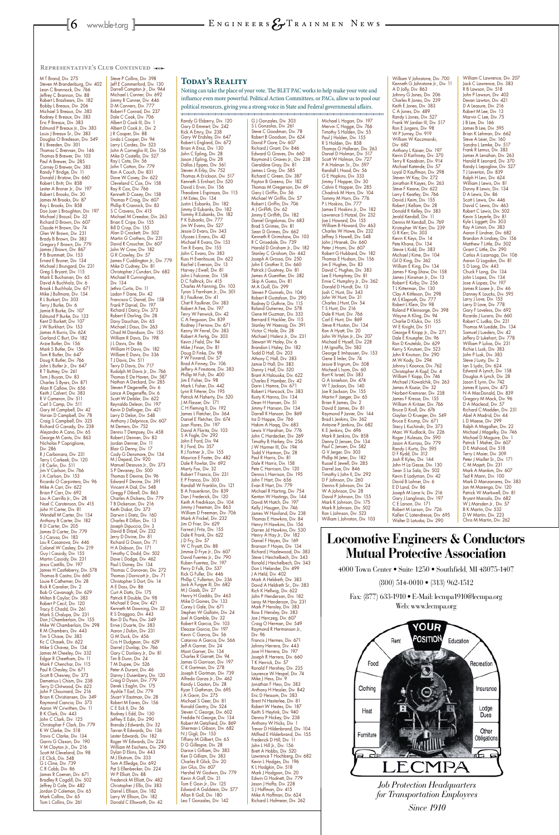M T Brand, Div. 275 Steven M Brandenburg, Div. 402 Leon C Brannock, Div. 766 Jeffrey C Brannon, Div. 88 Robert L Brashears, Div. 182 Bobby L Breaux, Div. 206 Michael S Breaux, Div. 383 Rodney E Breaux, Div. 383 Eric P Breaux, Div. 383 Edmund P Breaux Jr., Div. 383 Louis J Breaux Sr., Div. 383 Douglas O Bredeson, Div. 549 R L Breeden, Div. 301 Thomas C Brennan, Div. 146 Thomas B Brewer, Div. 103 Paul A Brewer, Div. 285 Corney D Brewer, Div. 383 Randy F Bridge, Div. 11 Donald J Bristow, Div. 660 Robert L Britt, Div. 858 Lester A Broner Jr., Div. 197 Robert L Brooks, Div. 30 James M Brooks, Div. 87 Roy L Brooks, Div. 858 Don Juan L Broughton, Div. 197 Michael J Brousil, Div. 32 Richard D Brown, Div. 607 Claude H Brown, Div. 74 Glen W Brown, Div. 231 Brady B Brown, Div. 383 Gregory F Brown, Div. 779 James J Brown, Div. 867 P B Brummett, Div. 153 Ernest E Bruner, Div. 134 Michael J Brungard, Div. 231 Greg S Bryant, Div. 115 Mark E Buchanan, Div. 65 David A Buchholz, Div. 6 Brook L Buchholz, Div. 671 Mike J Bullmore, Div. 134 R L Burkart, Div. 303 Terry J Burke, Div. 6 Jamie R Burke, Div. 107 Edmund P Burke, Div. 133 Kent D Burkett, Div. 107 J W Burkhart, Div. 153 James A Burris, Div. 624 Garland C Burt, Div. 182 Arzie Butler, Div. 156 Mark S Butler, Div. 156 Tom R Butler, Div. 647 Doug K Butler, Div. 766 John L Butler Jr., Div. 647 R T Buttrey, Div. 261 Tom J Buyan, Div. 83 Charles S Byars, Div. 871 Alan R Callow, Div. 656 Keith J Calvert, Div. 383 R V Cameron, Div. 511 Carl S Camp, Div. 511 Gary M Campbell, Div. 42 Varian D Campbell, Div. 78 Craig S Campbell, Div. 325 Richard G Canady, Div. 238 Alejandro A Cano, Div. 65 George M Cantu, Div. 863 Nicholas P Capriglione, Div. 286 R J Carbonara, Div. 231 Terry L Carkeek, Div. 120 J R Carlin, Div. 511 Jim V Carlson, Div. 766 J A Carlson, Div. 153 Ricardo O Carpintero, Div. 96 Mike A Carr, Div. 622 Brian P Carr, Div. 692 Lou A Carrillo Jr., Div. 28 Noel C Carstenson, Div. 415 John H Carter, Div. 81 Wendell M Carter, Div. 134 Anthony B Carter, Div. 182 R D Carter, Div. 205 James D Carter, Div. 779 S J Caruso, Div. 183 Lou R Casanova, Div. 446 Colonel W Caskey, Div. 219 Guy I Cassidy, Div. 155 Martin Cassidy, Div. 231 Jesus Castillo, Div. 197 James H Castleberry, Div. 578 Thomas B Castro, Div. 660 Louie R Cathemer, Div. 28 Rick R Cavalier, Div. 2 Bob G Cavanagh, Div. 629 Milton B Caylor, Div. 383 Robert P Cecil, Div. 120 Tracy E Chadd, Div. 261 Mark S Chalupa, Div. 231 Don J Chamberlain, Div. 155 Mike W Chamberlain, Div. 298 R M Chambers, Div. 443 Tim S Chase, Div. 383 Kc C Chasek, Div. 622 Mike S Chavez, Div. 134 James M Cheeley, Div. 332 Edgar R Cheetham, Div. 11 Mark F Chenchar, Div. 115 Paul R Chesley, Div. 671 Scott B Chesney, Div. 373 Demetrius L Chism, Div. 238 Terry D Chitwood, Div. 623 John P Chouinard, Div. 216 Brian K Christiansen, Div. 349 Raymond Ciancia, Div. 373 Aaron W Cirwithen, Div. 11 B K Clark, Div. 443 John C Clark, Div. 125 Christopher F Clark, Div. 779 K W Clarke, Div. 518 Travis C Clarke, Div. 134 Garris G Claxon, Div. 190 V M Clayton Jr., Div. 216 Scott M Cleveland, Div. 98 J E Click, Div. 548 G L Cline, Div. 739 C R Cobb, Div. 86 James R Coenen, Div. 671 Bradley R Cogdill, Div. 502 Jeffrey D Cole, Div. 482 Jordan D Coleman, Div. 65 Mark Collins, Div. 65 Tom L Collins, Div. 261

G J Gonzales, Div. 303 S L Gonzolas, Div. 261 Steve C Goodman, Div. 78 Robert B Goodson, Div. 624 David P Gore, Div. 607 Richard J Grant, Div. 846 Edward G Graves, Div. 660 Raymond L Graves Jr., Div. 238 Geraldine Gray, Div. 81 James L Gray, Div. 585 Richard C Green, Div. 387 Payton B Greeno, Div. 182 Thomas M Gregerson, Div. 69 Gary L Griffin, Div. 56 Michael W Griffin, Div. 57 Robert L Griffin, Div. 706 A J Griffith, Div. 62 Jimmy E Griffith, Div. 182 Daniel Grigalunas, Div. 683 Brad S Grimes, Div. 81 Sean D Grimes, Div. 662 Kenneth R Grimshaw, Div. 103 R C Grisedale, Div. 739 Harold D Grisham Jr., Div. 182 Stanley C Grishom, Div. 442 Joseph A Grosso, Div. 250 John E Grother II, Div. 660 Patrick J Guatney, Div. 81 James A Guenther, Div. 382 Skip A Guess, Div. 81 M A Guill, Div. 299 Steven P Gunnels, Div. 104 Robert R Gustafson, Div. 290 Rodney D Guthrie, Div. 115 Roland Gutierrez, Div. 578 Gene M Guzman, Div. 333 Bernard E Hackler, Div. 115 Stanley W Haessig, Div. 391 Victor C Haile, Div. 28 Michael J Halerz Jr., Div. 231 Stewart W Haley, Div. 6 Brandon L Haley, Div. 182 Todd D Hall, Div. 203 Athony C Hall, Div. 383 Jamie D Hall, Div. 383 Danny L Hall, Div. 520 Brant A Halouska, Div. 622 Charles E Hamber, Div. 42 Darin L Hamre, Div. 671 Robert L Hancock, Div. 383 Rusty K Hanno, Div. 134 Dean H Hansen, Div. 51 Jimmy F Hanson, Div. 134 Darrell R Hanson, Div. 869 Ira D Happe, Div. 766 Hakim A Haqq, Div. 683 Lewis V Harahan, Div. 776 John C Hardecker, Div. 269 Timothy B Harkey, Div. 256 J W Harmer III, Div. 194 Todd V Harmon, Div. 28 Paul R Harris, Div. 81 Dale R Harris, Div. 158 Pete C Harrison, Div. 120 Dennis L Harrison, Div. 195 John T Hart, Div. 656 Evan R Hart, Div. 779 Michael R Harting, Div. 754 Kenton W Hastings, Div. 144 David M Hatch, Div. 197 Kelly J Haugen, Div. 746 James W Haviland, Div. 238 Thomas E Hawkins, Div. 84 Henry H Hawkins, Div. 156 Darren Jd Hawkins, Div. 530 Henry A Hay Jr., Div. 182 Daniel F Hayes, Div. 169 Bronson F Hayes, Div. 134 Richard J Hazlewood, Div. 383 Steve L Heichelbech, Div. 343 Ronald J Heichelbech, Div. 343 Don L Helander, Div. 499 J A Held, Div. 402 Mark A Heldreth, Div. 383 David A Heldreth Sr., Div. 383 Rich K Hellwig, Div. 622 John P Henderson, Div. 182 Leroy M Henderson, Div. 231 Mark P Hensley, Div. 383 Ross E Hensley, Div. 383 Joe J Herczeg, Div. 607 Craig O Herman, Div. 549 Raymond R Hermanson Jr., Div. 96 Francis J Hermes, Div. 671 Johnny Herrera, Div. 443 Jose H Herrera, Div. 197 Joseph R Herrera, Div. 660 T K Herrick, Div. 57 Ronald F Hershey, Div. 235 Laurence W Hespel, Div. 74 Mike J Hess, Div. 9 Jonathan F Hess, Div. 383 Anthony H Hessler, Div. 842 Eric D Hessom, Div. 383 Brent N Hesterlee, Div. 81 Robert W Hestes, Div. 187 Keith S Heytink, Div. 940 Dennis P Hickey, Div. 238 Anthony W Hicks, Div. 1 Trevor D Hildenbrand, Div. 104 Milfred E Hilderbrand, Div. 155 Frederick D Hill, Div. 11 John L Hill Jr., Div. 156 Brett A Hobbs, Div. 520 Lawrence T Hochberg, Div. 682 Kevin L Hodges, Div. 196 K L Hodgkin, Div. 518 Mark J Hodgson, Div. 20 Edwin G Hodnett, Div. 779 Jason J Hoffa, Div. 228 S J Hoffman, Div. 415 Mike A Hoffman, Div. 624 Richard L Hofmeier, Div. 262

Steve P Collins, Div. 398 Jeff E Commerford, Div. 130 Darrell Compton Jr., Div. 944 Michael L Conner, Div. 692 Jimmy R Conner, Div. 446 D M Conners, Div. 777 Robert F Conrad, Div. 237 Dale C Cook, Div. 706 Albert D Cook III, Div. 1 Albert D Cook Jr., Div. 2 JR Cooper, Div. 88 Linda L Cooper, Div. 94 Larry L Cordes, Div. 523 John A Corneglio III, Div. 156 Mike D Costello, Div. 527 Ray L Cota, Div. 56 John T Cotton, Div. 779 Ron A Couch, Div. 831 Dave W Covey, Div. 622 Cleveland C Cox, Div. 158 Ray R Cox, Div. 766 Kenneth D Coxey, Div. 158 Thomas P Craig, Div. 607 Phillip R Crannick, Div. 83 S C Cravens, Div. 415 Michael M Creedon, Div. 263 Brian E Cripe, Div. 155 Bill D Crisp, Div. 155 Alan D Crockett, Div. 502 Martin G Crothers, Div. 231 David R Croucher, Div. 607 John W Crow, Div. 182 G R Crowley, Div. 57 James F Cuddington Jr., Div. 779 Mike D Cudney, Div. 81 Christopher J Cundari, Div. 682 Michael R Cunningham, Div. 134 Jethro Curtis, Div. 11 Ladon F Dane, Div. 42 Francisco C Daniel, Div. 158 Frank P Daniel, Div. 197 Richard J Darcy, Div. 373 Robert E Darling, Div. 28 Davy Dauchan, Div. 65 Michael J Daus, Div. 263 Chad M Davidson, Div. 155 William R Davis, Div. 198 J L Davis, Div. 86 William H Davis, Div. 182 William E Davis, Div. 336 T J Davis, Div. 511 Terry D Davis, Div. 717 Rudolph M Davis Jr., Div. 766 Thomas E De Haven, Div. 587 Nathan A Deckard, Div. 285 Steven P Degeneffe, Div. 6 Lance A Degeneffe, Div. 6 Scott W Deibler, Div. 622 Reynaldo Deleon, Div. 197 Kevin D Dellinger, Div. 421 Larry D Delon, Div. 548 Anthony J Delprince, Div. 607 M Demers, Div. 752 Dennis T Dempsey, Div. 458 Robert J Dennen, Div. 83 Jordan Denner, Div. 11 Blair G Denny, Div. 17 Cody G Densmore, Div. 134 M J Depeal, Div. 920 Manuel Desousa Jr., Div. 373 S P Devaney, Div. 500 Thomas E Devine, Div. 96 Edward F Devine, Div. 391 Vincent A Dial, Div. 548 Gregg F Dibrell, Div. 863 Charles A Dickens, Div. 779 T B Dickerson, Div. 216 Keith Didiot, Div. 373 Darwin L Dietz, Div. 160 Charles R Dillon, Div. 13 Joseph Dipuccio, Div. 3 David B Ditzel, Div. 232 Jerry D Divine, Div. 81 Richard G Dixon, Div. 71 H A Dobson, Div. 171 Timothy C Dodd, Div. 502 Dave L Dodge, Div. 462 Paul L Doney, Div. 134 Thomas C Donovan, Div. 272 Thomas J Dorricott Jr., Div. 71 Christopher S Dort, Div. 14 A E Doss, Div. 86 Curt A Dotts, Div. 175 Patrick R Double, Div. 98 Michael E Dow, Div. 421 Kenneth M Downing, Div. 32 R S Draggoo, Div. 443 Ron D Du Paix, Div. 349 Ernie J Duarte, Div. 383 Aaron J Dubin, Div. 231 G M Duck, Div. 456 Cris H Dudgeon, Div. 629 Darrel J Dunlap, Div. 766 Gary C Dunlavy Jr., Div. 81 Tim B Dunn, Div. 24 T M Dupee, Div. 526 Peter A Durant, Div. 46 Danny L Dusenbery, Div. 120 Craig D Dyson, Div. 779 Derek L Eaglin, Div. 175 Ayshle T Earl, Div. 779 Stuart V Eastman, Div. 28 Robert M Eaves, Div. 156 C E Eck II, Div. 56 Rodney L Edd, Div. 130 Jeffrey E Edin, Div. 290 Brenda J Edwards, Div. 32 Tarran R Edwards, Div. 136 Lester Edwards, Div. 182 Roger W Edwards, Div. 224 William M Eischens, Div. 290 Dylan D Ekins, Div. 443 M J Ekstrum, Div. 333 Tom A Elledge, Div. 692 Pat S Ellenbecker, Div. 224 W P Elliott, Div. 88 Frederick M Elliott, Div. 482 Christopher J Ellis, Div. 383 Darrel L Ellison, Div. 182 Larry W Ellison, Div. 182 Donald C Ellsworth, Div. 42

Michael L Hogan, Div. 197 Mervin C Hogge, Div. 766 Timothy S Holden, Div. 55 Paul J Holden, Div. 155 R S Holden, Div. 858 Thomas G Holleran, Div. 263 Daniel D Holman, Div. 517 Scott W Holman, Div. 727 P A Holman Sr., Div. 597 Randall L Hood, Div. 56 G E Hopkins, Div. 333 Jimmy T Hopper, Div. 30 Calvin E Hopper, Div. 285 Chadrick M Horn, Div. 104 Tommy M Horn, Div. 776 P L Hoskins, Div. 777 James E Hoskins Jr., Div. 182 Lawrence S Hotzel, Div. 232 Joe L Howard, Div. 155 William B Howard, Div. 463 Charles W Howe, Div. 232 Jeffrey S Howell, Div. 548 John J Hranek, Div. 660 Peter J Hromi, Div. 607 Robert G Hubbard, Div. 182 Thomas E Hudson, Div. 156 Jim E Hughes, Div. 83 David C Hughes, Div. 383 Lee E Humphrey, Div. 81 Ernie C Humphry Jr., Div. 362 Donald D Hundt, Div. 13 Josh C Hunt, Div. 343 John W Hunt, Div. 31 Charles J Hunt, Div. 54 T S Hunt, Div. 216 Dale R Hunt, Div. 766 Carl E Hunt, Div. 869 Steve R Huston, Div. 134 Ron A Hyatt, Div. 20 John W Hylan Jr., Div. 207 Michael E Hysell, Div. 228 J M Ignoffo, Div. 582 George E Imhausen, Div. 153 Gene E Imler, Div. 74 Jessie B Ingrum, Div. 508 Micheal L Isom, Div. 60 Bart K Israel, Div. 383 G A Israelson, Div. 474 W T Jackson, Div. 140 Joe R Jackson, Div. 155 Martin F Jaeger, Div. 65 Brian R James, Div. 2 David E James, Div. 81 Raymond P Javier, Div. 144 Brad L Jenkins, Div. 362 Antoine P Jenkins, Div. 682 K E Jenkins, Div. 696 Mark R Jenkins, Div. 858 Denny D Jensen, Div. 134 Paul C Jensen, Div. 582 G V Jerger, Div. 303 Phillip M Jeter, Div. 182 Russel E Jewell, Div. 285 Darrel Joe, Div. 846 Timothy L John II, Div. 292 D F Johnson, Div. 260 Dennis R Johnson, Div. 24 W A Johnson, Div. 28 David P Johnson, Div. 155 Mark K Johnson, Div. 175 Mark R Johnson, Div. 502 Ron L Johnson, Div. 523 William L Johnston, Div. 103

Randy G Elsberry, Div. 120 Gary D Emmert, Div. 242 Rick A Emry, Div. 238 Gary W Endsley, Div. 647 Robert L England, Div. 672 Brian A Ensz, Div. 130 John C Epling, Div. 28 Jason J Epling, Div. 28 Dallas J Eppes, Div. 561 Steven A Erby, Div. 752 Thomas A Erickson, Div. 517 Kenneth S Ernhart, Div. 520 David L Ervin, Div. 156 Theodore L Espinoza, Div. 115 J M Estes, Div. 134 Justin L Eubanks, Div. 182 Jimmy D Eubanks, Div. 182 Tommy R Eubanks, Div. 182 P K Eubanks, Div. 777 Jim W Evans, Div. 527 Jessie D Evans, Div. 343 Ulysses L Evans, Div. 42 Michael R Evans, Div. 153 Tim R Evans, Div. 155 John C Evans, Div. 383 Russ H Evenhouse, Div. 622 Rachel L Everson, Div. 13 Harvey J Ewell, Div. 81 John L Falconer, Div. 158 D C Falltrick, Div. 415 Charles M Fanning, Div. 103 Tyron S Farnham Jr., Div. 301 B J Faulkner, Div. 41 Chet R Faulkner, Div. 383 Robert A Fee, Div. 197 Terry W Fenwick, Div. 42 C A Ferguson, Div. 839 Rodney J Fernow, Div. 671 Kenny W Ferrel, Div. 383 Robert A Fertig, Div. 303 Kevin J Field, Div. 94 Mike J Finan, Div. 81 Doug D Finke, Div. 98 P W Finneral, Div. 57 Brad A Finney, Div. 106 Jeffery A Firestone, Div. 383 Phillip M Fish, Div. 400 Jim E Fisher, Div. 98 Mark L Fisher, Div. 442 Lynn R Fitterer, Div. 195 Patrick M Flaherty, Div. 520 J M Flasser, Div. 171 C H Fleming II, Div. 192 James L Fletcher, Div. 364 Daniel E Fletcher, Div. 674 Juan Flores, Div. 197 David A Florita, Div. 103 S A Fogle, Div. 292 John E Ford, Div. 94 R J Ford, Div. 357 R J Fortner Jr., Div. 155 Maurice E Foster, Div. 482 Dale R Fowlar, Div. 692 Marty Fox, Div. 32 Robert T Francis, Div. 231 E P Franco, Div. 303 Randall W Franklin, Div. 121 B A Frauenkron, Div. 839 Dan J Frederick, Div. 120 Keith A Fredrikson, Div. 104 Jimmy J Freeman, Div. 863 William D Freeman, Div. 706 Mark A Frickel, Div. 232 Jim O Frier, Div. 629 Forrest J Fritz, Div. 155 Dale R Fronk, Div. 622 J D Fry, Div. 57 W C Fryatt, Div. 88 Jimmie D Frye Jr., Div. 607 David Fuentes Jr., Div. 790 Ruben Fuentez, Div. 197 Perry D Fulk, Div. 537 Rick G Fuller, Div. 446 Phillip C Fullerton, Div. 336 Jack A Furgye III, Div. 682 M J Gaab, Div. 27 Henry H Gaddis, Div. 463 Mike D Gaines, Div. 133 Corey L Gale, Div. 671 Stephen W Gallatin, Div. Joel A Gamble, Div. 32 Robert R Garcia, Div. 103 Eleazar Garcia, Div. 197 Kevin C Garcia, Div. 56 Catarino A Garcia, Div. 566 Jeff A Garner, Div. 24 Mont Garner, Div. 134 Charles R Garrett, Div. 94 James G Garrison, Div. 197 C R Gartman, Div. 278 Joseph E Gartman, Div. 739 Alfredo Garza Jr., Div. 462 Randy L Gaston, Div. 28 Ryan T Gathman, Div. 695 J A Gavin, Div. 275 Michael S Geer, Div. 81 Ronald Gentry, Div. 524 Steven C George, Div. 602 Freddie N George, Div. 134 Robert M Getzfreid, Div. 869 Sherman L Gibson, Div. 682 N J Gigli, Div. 153 Tiffany M Gilbert, Div. 65 D G Gillespie, Div. 28 Darice L Gilliam, Div. 383 Ken D Gilliam, Div. 383 Charles R Glick, Div. 20 Jon Glus, Div. 607 Hershel W Godwin, Div. 779 Kevin A Goff, Div. 31 Tom E Goin Jr., Div. 125 Edward A Goldstein, Div. 577 Allan R Goll, Div. 180 Leo T Gonzales, Div. 142

William V Johnstone, Div. 700 Kenneth G Johnstone Jr., Div. 11 A D Jolly, Div. 863 Johnny G Jones, Div. 206 Charles R Jones, Div. 239 Keith E Jones, Div. 383 C A Jones, Div. 489 Randy L Jones, Div. 527 Frank W Jordan III, Div. 517 Ron E Jurgens, Div. 98 W P Jurney, Div. 919 William W Kaczmarski, Div. 682 Anthony L Kaiser, Div. 197 Kevin D Karlinsey, Div. 370 Terry R Kasabian, Div. 914 Michael Katende, Div. 57 Loyal D Kauffman, Div. 298 Steven W Kay, Div. 272 Jonathan R Kayes, Div. 263 Steve F Keane, Div. 622 Larry E Keatley, Div. 766 David J Keim, Div. 155 Robert J Kellam, Div. 28 Donald R Kelley, Div. 383 Jerald Kendall, Div. 11 Dennis M Kendall, Div. 769 Kristopher W Kerr, Div. 239 G R Kerr, Div. 303 Kevin K Keys, Div. 14 Pete Khane, Div. 134 Stevie L Kidd, Div. 383 Michael J Kime, Div. 104 Gil D King, Div. 362 William E King, Div. 134 James F King-Shaw, Div. 158 James J Kinsman Jr., Div. 13 Robert E Kirby, Div. 256 T L Kitterman, Div. 130 Clay A Kittleson, Div. 298 M S Klaproth, Div. 777 Robert L Klein, Div. 98 Roland P Kleinsorge, Div. 398 Wayne A Kling, Div. 94 Charlie D Klukis, Div. 155 W E Knight, Div. 511 George R Knipp Jr., Div. 271 Dale E Knuepfer, Div. 96 Ron D Knutelski, Div. 629 Kerry S Knutsen, Div. 523 John R Knutson, Div. 290 M W Kody, Div. 294 Johnny L Koonce, Div. 762 Christopher A Kopf, Div. 4 William F Kopp, Div. 746 Michael J Kowalchik, Div. 263 James A Kozar, Div. 32 Norbert Kremsner, Div. 238 James F Kresse, Div. 155 William A Kritzer, Div. 766 Bruce D Kroll, Div. 676 Gaylan O Krueger, Div. 549 Bruce E Krump, Div. 671 Stacy L Kuchinski, Div. 373 Marc W Kudlacik, Div. 226 Roger J Kulesza, Div. 590 Jason A Kurrass, Div. 779 Randy L Kurtz, Div. 595 D F Kydd, Div. 312 Josh R Kyles, Div. 144 John H La Gesse, Div. 130 Sean S La Sala, Div. 502 Kevin E Ladyman, Div. 42 David B Lahner, Div. 6 E D Land, Div. 86 Joseph M Lane Iv, Div. 216 Gary J Langlinais, Div. 197 C E Larson, Div. 171 Robert M Larson, Div. 726 Kallen C Latendresse, Div. 695 Walter D Latuska, Div. 290

William C Lawrence, Div. 207 Jack C Lawrence, Div. 383 R B Lawson, Div. 518 John P Lawson, Div. 402 Devan Lawton, Div. 421 D A Leasure, Div. 216 Robert M Lee, Div. 13 Marvin C Lee, Div. 75 J B Lee, Div. 166 James B Lee, Div. 595 Brian K Lehman, Div. 662 Steve A Leier, Div. 160 Sandra L Lemke, Div. 517 Frank R Lemus, Div. 383 James A Lenahan, Div. 263 Harold R Leonard, Div. 370 Randy L Lepoglow, Div. 527 T J Leverton, Div. 839 Ralph H Levi, Div. 624 William J Lewis, Div. 81 Donny R Lewis, Div. 134 D A Lewis, Div. 86 Scott L Lewis, Div. 446 David C Lewis, Div. 463 Robert C Lewis, Div. 502 Kevin S Leyerle, Div. 81 Kyle L Liggett, Div. 303 Ray A Limon, Div. 383 Aaron E Lindner, Div. 682 Brandon A Lindsey, Div. 156 Matthew T Little, Div. 502 Grant C Little, Div. 290 Carlos A Lizarraga, Div. 106 Aaron G Logsdon, Div. 81 S D Long, Div. 443 Chuck F Long, Div. 134 John L Lopez, Div. 134 Jose A Lopez, Div. 197 James R Losee Jr., Div. 46 Danney K Loucks, Div. 595 Larry J Love, Div. 155 Larry D Love, Div. 778 Gary F Loveless, Div. 692 Ricardo J Lucero, Div. 660 Robert C Ludka, Div. 231 Thomas M Luedde, Div. 134 Samuel J Lueders, Div. 42 Jeffery D Lukehart, Div. 778 William P Lulias, Div. 231 Richie L Lusk, Div. 383 John P Lusk, Div. 383 Steve J Lusty, Div. 2 Ian S Lydic, Div. 624 Edward A Lynch, Div. 158 Douglas A Lynch, Div. 28 Jason E Lynn, Div. 742 James R Lyons, Div. 473 N A MacDonald, Div. 839 Gregory M Mack, Div. 96 D A Macleod, Div. 57 Richard C Madden, Div. 231 Abel A Madrid, Div. 44 L D Maese, Div. 299 Ralph A Magallan, Div. 22 Michael J Magelky, Div. 746 Michael D Maguire, Div. 1 Patrick T Maher, Div. 607 D E Mahood, Div. 518 Terry L Maier, Div. 309 Peter J Maillet Sr., Div. 171 C M Majett, Div. 231 Mark A Mankim, Div. 607 Ted R Mann, Div. 100 Mark D Manzanares, Div. 383 Jan M Marengo, Div. 120 Patrick W Markwell, Div. 81 Bryant Marsalis, Div. 682 W J Marsden Jr., Div. 57 B K Martin, Div. 532 D W Martin, Div. 223 Chris M Martin, Div. 262

## **Locomotive Engineers & Conductors Mutual Protective Association**

4000 Town Center • Suite 1250 • Southfield, MI 48075-1407

(800) 514-0010 • (313) 962-1512

Fax: (877) 633-1910 • E-Mail: lecmpa1910@lecmpa.org Web: www.lecmpa.org



*Job Protection Headquarters for Transportation Employees Since 1910*

#### **Today's Reality**

Noting can take the place of your vote. The BLET PAC works to help make your vote and influence even more powerful. Political Action Committees, or PACs, allow us to pool our political resources, giving you a strong voice in State and Federal governmental affairs.

#### **Representative's Club Continued** •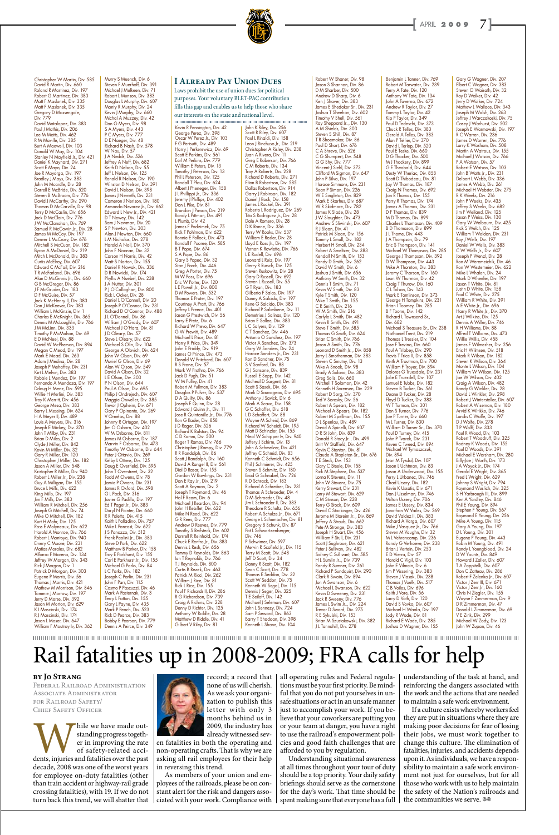

Christopher W Martin, Div. 585 David R Martin, Div. 660 Roland R Martinez, Div. 197 Robert G Martinez, Div. 383 Matt F Maslonek, Div. 335 Matt F Maslonek, Div. 335 Gregory D Massengale, Div. 779 David Matalopez, Div. 383 Paul J Mathis, Div. 206 Lee M Matts, Div. 462 R M Maville, Div. 385 Burt A Maxwell, Div. 103 Donald W May, Div. 104 Stanley N Mayfield Jr., Div. 421 Daniel K Maynard, Div. 271 Scott E Mayo, Div. 24 Joe R Mayorga, Div. 197 Bradley J Mays, Div. 383 John M Mcardle, Div. 28 Darrell E McBride, Div. 520 Steven B McBroom, Div. 776 David J McCarthy, Div. 290 Thomas D McCarville, Div. 98 Terry D McCaslin, Div. 656 Jack D McClain, Div. 776 J W McClanahan, Div. 769 Samuel R McCowin Jr., Div. 28 James M McCoy, Div. 197 Denver L McCrory, Div. 676 Mitchell S McCuan, Div. 182 Byron A McDaniel, Div. 219 Mitch L McDonald, Div. 383 Curtis McElroy, Div. 607 Edward C McFail, Div. 216 T R McFarland, Div. 696 Alan D McGinnis Jr., Div. 660 G B McGregor, Div. 86 J F McGruder, Div. 183 D F McGuire, Div. 57 Jack K McHenry II, Div. 383 Dan J McKeever, Div. 383 William L McKinzie, Div. 1 Charles E McKnight, Div. 365 Dennis M McLaughlin, Div. 766 J M McLinn, Div. 333 Timothy P McMahon, Div. 69 E D McNeel, Div. 88 David W McPherson, Div. 894 Megan C Mead, Div. 197 Mark E Mead, Div. 263 Adam J Medina, Div. 28 Joseph P Mehaffey, Div. 231 Kirt L Melvin, Div. 383 Robbie L Mendez, Div. 197 Fernando A Mendoza, Div. 197 Ddoug H Menz, Div. 595 Willie H Merlini, Div. 383 Troy K Merritt, Div. 456 George Mesa, Div. 383 Barry L Messing, Div. 624 H A Meyer II, Div. 489 Louis A Meyers, Div. 316 Joseph E Mickey, Div. 370 John T Milby, Div. 231 Brian D Miles, Div. 2 Clyde J Miller, Div. 842 Kevin M Miller, Div. 32 Gary R Miller, Div. 120 Christopher J Miller, Div. 182 Jason A Miller, Div. 548 Kristopher R Miller, Div. 940 Robert L Miller Jr., Div. 238 Guy A Milligan, Div. 155 Bruce L Mills, Div. 622 King Mills, Div. 197 Jim F Mills, Div. 383 William R Mitchell, Div. 256 Joseph G Mitchell, Div. 74 Mike O Mitchell, Div. 182 Kurt H Mohr, Div. 125 Ross E Molyneaux, Div. 622 Harold A Monroe, Div. 766 Robert L Montoya, Div. 940 Emery C Moore, Div. 231 Matias Morales, Div. 682 Alfonso F Moreno, Div. 134 Jeffrey W Morgan, Div. 343 Rick J Morgan, Div. 1 Patrick D Morgan, Div. 303 Eugene P Morris, Div. 56 Thomas J Morris, Div. 421 Mathew M Morrison, Div. 846 Tommie J Morrow, Div. 197 Jerry D Morse, Div. 392 Jason M Morton, Div. 629 K I Moscinski, Div. 174 R J Moscinski, Div. 174 Jason L Moser, Div. 647 William F Moutray Iv, Div. 362

John K Riley, Div. 256 Scott R Riley, Div. 607 Paul L Rinaldi, Div. 158 Leon J Rinchuso Jr., Div. 219 Christopher A Risley, Div. 238 Juan A Rivera, Div. 11 Greg E Roberson, Div. 766 C M Roberts, Div. 134 Troy A Roberts, Div. 228 Richard D Roberts, Div. 271 Elton B Robertson, Div. 585 Dallas Robertson, Div. 914 Garry J Robinson, Div. 182 Daniel J Rock, Div. 158 James L Rockel, Div. 391 Roberto L Rodriguez, Div. 269 Tito S Rodriguez Jr., Div. 28 Dale A Romero, Div. 28 D K Ronne, Div. 336 Terry W Rooks, Div. 537 William E Rosler, Div. 28 Lloyd E Ross Jr., Div. 197 Vernon K Rowlette, Div. 766 L E Rudell, Div. 696 Leonard L Ruiz, Div. 197 Gerry R Rursch, Div. 125 Steven Ruskowitz, Div. 28 Gary D Russell, Div. 692 Steven L Russell, Div. 55 G T Ryan, Div. 183 Gilberto F Salas, Div. 197 Danny A Salcido, Div. 197 Rene G Salcido, Div. 383 Richard P Salimbene, Div. 11 Demetrius J Salinas, Div. 120 Brian E Sallee, Div. 383 L C Salyers, Div. 129 C T Sanchez, Div. 446 Antonio O Sanchez, Div. 197 Victor A Sanchez, Div. 373 Gary W Sanders, Div. 24 Horace Sanders Jr., Div. 231 Ron D Sandner, Div. 75 S V Sanford, Div. 88 G J Sansone, Div. 839 Russell E Sapp, Div. 142 Micheal D Sargent, Div. 81 Scott S Sasek, Div. 86 Mark D Sauvageau, Div. 695 Anthony J Savick, Div. 6 Mark A Scavo, Div. 158 G C Schaffer, Div. 518 L D Schaffert, Div. 88 Wayne M Scheid, Div. 869 Richard W Scheidt, Div. 195 Matt D Schinzler, Div. 155 Neal W Schipper Iv, Div. 940 Jeffery J Schirm, Div. 13 John A Schmelzer, Div. 421 Jeffrey C Schmid, Div. 83 Kenneth C Schmidt, Div. 656 Phil J Schmierer, Div. 425 Steven S Schmitz, Div. 180 Brad G Schnabel, Div. 726 R D Schrack, Div. 183 Richard A Schreiber, Div. 231 Thomas A Schroeder, Div. 4 D M Schroeder, Div. 48 Jim L Schroeder II, Div. 383 Theodore R Schultz, Div. 656 Robert A Schulze Jr., Div. 671 George L Schumacher, Div. 81 Gregory B Schunk, Div. 87 Pat L Schwartzenberger, Div. 746 P Schwimer, Div. 597 Mervin R Scofield Jr., Div. 115 Terry M Scott, Div. 548 Jeff D Scott, Div. 34 Danny R Scott, Div. 182 Sean C Scott, Div. 778 Thomas E Seddon, Div. 32 Scott W Seddon, Div. 75 Kenneth W Segal, Div. 115 Dennis J Seger, Div. 325 T E Seiloff, Div. 142 Michael J Seleman, Div. 607 John L Sennezy, Div. 724 am P Seward, Div. 863

Murry S Muench, Div. 6 Steven F Muerhoff, Div. 391 Michael J Mulkeen, Div. 71 Robert L Munson, Div. 383 Douglas L Murphy, Div. 607 Monty R Murphy, Div. 24 Kevin J Murphy, Div. 660 Michal A Muzzey, Div. 42 Dan G Myers, Div. 98 S A Myers, Div. 443 P C Myers, Div. 777 D E Naeger, Div. 48 Richard B Nash, Div. 578 W Nau, Div. 57 J A Nedds, Div. 526 Jeffrey A Neff, Div. 682 Keith D Nelson, Div. 55 Jeff L Nelson, Div. 125 Ronald R Nelson, Div. 190 Winston D Nelson, Div. 391 David L Nelson, Div. 398 James J Nemeth, Div. 231 Cameron J Nerison, Div. 180 Armando Nevarez Jr., Div. 662 Edward L New Jr., Div. 421 D T Newey, Div. 142 Sam J Newman, Div. 20 S P Newton, Div. 303 Alan J Newton, Div. 660 L M Nicholas, Div. 278 Harold A Noll, Div. 370 John F Noonan, Div. 32 Carson H Norris, Div. 42 Matt S Norton, Div. 155 Daniel R Nowak, Div. 336 D R Nowicki, Div. 174 Phyllis A Nuebel, Div. 238 J A Nutter, Div. 301 P J O'Callaghan, Div. 800 Rick L Ocker, Div. 28 Daniel L O'Connell, Div. 20 Joseph P O'Connor, Div. 231 Richard D O'Connor, Div. 488 J L O'Donnell, Div. 86 William J O'Grady, Div. 607 Michael J O'Hara, Div. 81 J D Oleary, Div. 57 Steve L Oleary, Div. 622 Michael S Olin, Div. 104 George A Olovich, Div. 624 John W Olson, Div. 69 Muriel G Olson, Div. 69 Alan W Olson, Div. 549 David A Olson, Div. 32 L E Olson, Div. 303 P N Olson, Div. 644 Paul A Olson, Div. 695 Philip J Ondrejech, Div. 607 Maggie Onweller, Div. 385 Trevor J Opheim, Div. 671 Gary P Opinante, Div. 269 V Ornelas, Div. 88 Johnny R Ortegon, Div. 197 Jim O'Osborn, Div. 402 W M Osborne, Div. 811 James M Osborne, Div. 187 Marvin F Osborne, Div. 473 Timothy W Osborne, Div. 644 Peter J Ottavio, Div. 269 Kelby L Ottens, Div. 125 Doug E Overfield, Div. 595 John T Overstreet, Div. 32 Todd M Owens, Div. 78 Jamie P Owens, Div. 231 James R Oxford, Div. 598 G L Pack, Div. 316 Javier G Padilla, Div. 197 Ed T Paget Jr., Div. 383 Daryl N Painter, Div. 660 R R Paletta, Div. 415 Kaith L Palladino, Div. 757 Mike L Pancost, Div. 622 J S Panozzo, Div. 512 Frank Paolini Jr., Div. 383 Steve D Park, Div. 622 Matthew B Parker, Div. 158 Troy E Parkhurst, Div. 155 Carl E Parkhurst Jr., Div. 155 Michael G Parks, Div. 84 L C Parks, Div. 182 Joseph C Parlin, Div. 231 John F Parr, Div. 115 Cosmo P Pascuzzi, Div. 46 Mark A Pasternak, Div. 3 Terry L Patton, Div. 155 Gary L Payne, Div. 435 Mark P Peach, Div. 523

Robert W Shaner, Div. 98 Jason S Shannon, Div. 86 D M Sharber, Div. 500 Andrew D Sharp, Div. 6 Ken J Shaver, Div. 383 James E Shedaker Sr., Div. 231 Joshua T Sheehan, Div. 602 Timothy V Shell, Div. 561 Ray Sheppard Jr.., Div. 130 A M Shields, Div. 303 Steven S Shill, Div. 87 T R Shoemaker, Div. 86 Paul D Short, Div. 676 C A Shreve, Div. 526 C G Shumpert, Div. 548 G G Shy, Div. 777 Vincent J Siehl, Div. 373 Clifford M Sigman, Div. 647 John P Silva, Div. 197 Horace Simmons, Div. 231 Sean P Simon, Div. 226 W E Singleton, Div. 829 Mark E Skarhus, Div. 687 W R Skidmore, Div. 782 James K Slade, Div. 28 J W Slaughter, Div. 473 Andrew S Sliwinski, Div. 607 R J Sloan, Div. 41 Patrick M Sloan, Div. 156 Tommy L Small, Div. 182 Herbert H Small, Div. 234 Robert A Smeltzer, Div. 383 Kendall N Smith, Div. 153 Randy D Smith, Div. 262 David W Smith, Div. 6 Joshua J Smith, Div. 656 Anthony W Smith, Div. 32 Dennis T Smith, Div. 71 Kevin W Smith, Div. 83 Kyle T Smith, Div. 120 Mike T Smith, Div. 155 C R Smith, Div. 216 W M Smith, Div. 216 Carlyle L Smith, Div. 482 Kevin R Smith, Div. 491 Steve T Smith, Div. 585 Thomas G Smith, Div. 624 Brian C Smith, Div. 766 Jason A Smith, Div. 776 Leonard D Smith Jr.., Div. 858 Jerry L Smotherman, Div. 383 Steven C Smutny, Div. 13 Mike A Snook, Div. 98 Brady A Solano, Div. 383 Greg Solis, Div. 660 Mitchell T Solomon, Div. 42 Kenneth H Sorensen, Div. 229 Robert D Sorg, Div. 370 Ted V Sorosky, Div. 56 Robert A Spears, Div. 182 Michael A Spears, Div. 182 Robert M Spellman, Div. 155 D L Spenlau, Div. 489 David A Spinelli, Div. 607 D R St John, Div. 839 Donald R Stacy Jr.., Div. 499 Britt W Staffield, Div. 647 Kevin C Stanton, Div. 81 Claude A Stapleton Sr., Div. 676 T E Steck, Div. 153 Gary C Steele, Div. 158 Rick M Stephens, Div. 537 Lorna K Stevens, Div. 11 John W Stevens, Div. 75 Kerry Stewart, Div. 231 Larry M Stewart, Div. 629 C M Stinson, Div. 228 Terry G Stock, Div. 609 David C Stockinger, Div. 426 Jerome M Storeim Jr.., Div. 869 Jeffery A Straub, Div. 662 Pete M Stronge, Div. 383 Joseph H Stuart, Div. 456 William F Stull, Div. 231 Scott J Sughroue, Div. 621 Peter J Sullivan, Div. 482 Sidney C Sullivant, Div. 585 H L Sumlin Jr.., Div. 739 Randy R Sumner, Div. 261 Richard P Sundquist, Div. 290 Clark R Swain, Div. 894 Jon A Swanson, Div. 6 Michael L Swanson, Div. 622 Kevin D Sweeney, Div. 231 Jack R Sweeny, Div. 776 James L Swim Jr.., Div. 224 Trevor D Sword, Div. 275 R E Sykulski, Div. 153 Brian M Szustakowski, Div. 382 J L Tannahill, Div. 278

Rick D Pearce, Div. 383 Bobby E Pearson, Div. 779 Dennis A Peirce, Div. 349

Kevin R Pennington, Div. 42 George Perez, Div. 398 Oscar W Perez Jr., Div. 103 F G Perisutti, Div. 489 Harry J Perkerewicz, Div. 69 Scott E Perkins, Div. 561 Earl M Perkins, Div. 779 William E Peters, Div. 13 Timothy J Peterson, Div. 13 Phil L Peterson, Div. 125 Randall T Pfau, Div. 624 Albert J Pheneger, Div. 158 J L Phillippi Jr., Div. 336 Jeremy J Phillips, Div. 402 Don L Pike, Div. 81 Brandon J Pinson, Div. 219 Randy L Pittman, Div. 491 L Plumb, Div. 42 James F Podzimek, Div. 75 Rick T Pohlman, Div. 622 Ronnie E Pollock, Div. 473 Randall F Pooree, Div. 585 B T Pope, Div. 674 S A Pope, Div. 86 Gary S Popec, Div. 32 Stan J Porch, Div. 446 Greg A Porter, Div. 75 M W Poss, Div. 696 Eric W Potter, Div. 120 L E Powell Jr., Div. 800 D M Powers, Div. 532 Thomas E Prater, Div. 197 Courtney A Pratt, Div. 766 Jeffrey L Preece, Div. 401 Jason G Prestwich, Div. 56 Larry E Pretz, Div. 6 Richard W Prevo, Div. 647 G W Prewitt, Div. 489 Michael L Price, Div. 81 Harry R Price, Div. 349 John E Priddy, Div. 919 James O Prince, Div. 473 Donald W Pritchard, Div. 607 R S Prone, Div. 57 Mark W Prothro, Div. 766 Jack D Pugh, Div. 51 W M Pulley, Div. 41 Robert M Pullman, Div. 383 Douglas P Pulver, Div. 537 D A Quilty, Div. 86 Joseph E Quinn, Div. 28 Edward J Quinn Jr., Div. 11 Jose R Quintanilla Jr., Div. 776 Ron G Rader, Div. 858 J D Rager, Div. 526 Richard K Ralston, Div. 94 C D Ramm, Div. 500 Roger T Ramos, Div. 766 Christopher J Rampy, Div. 779 R R Randolph, Div. 86 Scott J Randolph, Div. 160 David A Rangel II, Div. 561 Dial D Rasar, Div. 155 Gordon W Rawlings, Div. 231 Dan E Ray Jr., Div. 219 Scott A Rayman, Div. 2 Joseph T Raymond, Div. 46 Hal F Ream, Div. 6 Michael J Reardon, Div. 94 John H Rebillet, Div. 622 Mike N Reed, Div. 622 G R Rees, Div. 777 Andrew D Reeves, Div. 779 Timothy S Reifsteck, Div. 602 Darrrell R Reinhold, Div. 174 Chuck E Renfro Jr., Div. 383 Dennis L Resh, Div. 656 Tommy D Reynolds, Div. 863 Ian T Reynolds, Div. 766 T J Reynolds, Div. 800 Curtis B Rezek, Div. 463 Patrick M Ricci, Div. 262 William J Rice, Div. 81 Rick L Rice, Div. 155 Paul F Richards II, Div. 286 R G Richardson, Div. 739 Craig A Richins, Div. 228 Denny D Richter, Div. 125 nthony W Riddle, Div. Matthew D Riddle, Div. 41

Gilbert V Riley, Div. 81 Barry T Shadoan, Div. 398 Kenneth L Shane, Div. 104

While we have made out-<br>standing progress togeth-<br>er in improving the rate<br>of safety-related acci-<br>dents, injuries and fatalities over the past standing progress together in improving the rate of safety-related accidecade, 2008 was one of the worst years for employee on-duty fatalities (other than train accident or highway-rail grade crossing fatalities), with 19. If we do not turn back this trend, we will shatter that

If a culture exists whereby workers feel they are put in situations where they are making poor decisions for fear of losing their jobs, we must work together to change this culture. The elimination of fatalities, injuries, and accidents depends upon it. As individuals, we have a responsibility to maintain a safe work environment not just for ourselves, but for all those who work with us to help maintain the safety of the Nation's railroads and the communities we serve.  $\circledast$ 

Benjamin L Tanner, Div. 769 Robert M Tarwater, Div. 239 Terry A Tate, Div. 120 Anthony W Tate, Div. 134 John A Taverna, Div. 672 Andrew R Taylor, Div. 27 Tommy L Taylor, Div. 42 Kip P Taylor, Div. 349 Paul D Tedeschi, Div. 373 Chuck R Telles, Div. 383 Gerald A Telles, Div. 383 Alan P Tellier, Div. 370 David L Terlep, Div. 520 Paul E Teske, Div. 660 D G Thacker, Div. 500 M J Thackery, Div. 899 G E Theobald, Div. 644 Dusty W Theriac, Div. 858 Scott D Thibodeau, Div. 81 Jay W Thomas, Div. 187 Craig N Thomas, Div. 692 Jon R Thomas, Div. 155 Parry R Thomas, Div. 174 James A Thomas, Div. 231 D F Thomas, Div. 839 M D Thomas, Div. 899 Charles L Thomason, Div. 409 B D Thomason, Div. 899 J L Thome, Div. 443 J A Thompson, Div. 79 Eric S Thompson, Div. 141 Michael W Thompson, Div. 285 George J Thompson, Div. 392 D W Thompson, Div. 443 Mike A Thornton, Div. 383 Jeremy C Thorson, Div. 160 Leon W Thurman, Div. 42 Craig T Thurow, Div. 160 C L Tolson, Div. 143 Mark E Tomlinson, Div. 373 George H Tompkins, Div. 231 Brian I Toomey, Div. 285 B F Toone, Div. 142 Richard L Townsend Sr., Div. 682 Michael S Treasure Sr., Div. 238 Nathaniel Trent, Div. 219 Thomas L Tressler, Div. 104 Jose F Trevino, Div. 660 Paul A Tribbey, Div. 290 Travis T Trice II, Div. 858 Keith A Troutman, Div. 700 William F Troyer, Div. 894 Dolores G Truesdale, Div. 231 Jolie E Truesdell, Div. 107 Lemuel E Tubbs, Div. 182 Steven B Tucker, Div. 561 Duane D Tucker, Div. 28 Floyd D Tucker, Div. 383 W T Turman, Div. 301 Don S Turner, Div. 776 Joe P Turner, Div. 660 M L Turner, Div. 830 William D Turner Sr., Div. 370 Paul D Turney, Div. 415 John P Tvarok, Div. 231 Keven C Tweed, Div. 894 Michael W Tymoszczuk, Div. 894 Jean M Tysdal, Div. 107 Jason L Uchtman, Div. 83 Jason A Underwood, Div. 155 Perry L Urbanec, Div. 746 Chad Ursery, Div. 182 Kevin K Ussatis, Div. 671 Dan J Usselman, Div. 746 Milton Ussery, Div. 706 James E Ussery, Div. 834 Jonathan W Vailes, Div. 269 David Valdez II, Div. 383 Richard A Varga, Div. 607 Mike I Vasquez Ir., Div. 766 Steven M Vaughn, Div. 32 M L Vehrencamp, Div. 236 Randy G Verhoeve, Div. 238 Brian J Vertein, Div. 253 E D Vierra, Div. 57 Harold C Vigil, Div. 103 John E Vilmain, Div. 6 Jim P Vissering, Div. 383 Steven J Vlasak, Div. 238 Thomas J Voelk, Div. 517 C B Voiles, Div. 696 Keith J Vore, Div. 56 Larry D Voth, Div. 120 David S Vovko, Div. 607 Michael H Waala, Div. 197 Jody R Wade, Div. 81 Richard E Wade, Div. 285 Joshua D Wagner, Div. 155

Gary G Wagner, Div. 207 Elbert C Wagner, Div. 383 Steven O Waisath, Div. 32 Roy D Walker, Div. 42 Jerry D Walker, Div. 724 Mathew L Wallace, Div. 343 Joseph M Walsh, Div. 263 Jeffrey J Warczakoski, Div. 75 Casey J Warhurst, Div. 502 Joseph E Warmowski, Div. 197 R C Warren, Div. 236 James D Warren, Div. 776 Larry K Washam, Div. 508 Martin A Watrous, Div. 155 Michael J Watson, Div. 766 P A Watson, Div. 57 Robert E Watson, Div. 103 John B Watts Jr., Div. 231 Delbert L Webb, Div. 336 James A Webb, Div. 261 Michael H Webster, Div. 275 R K Weeks, Div. 216 John P Weeks, Div. 435 Jeffrey S Weeks, Div. 682 Jim F Weiland, Div. 125 Jason P Weiss, Div. 130 Gary W Welbourn, Div. 425 Rick S Welch, Div. 125 William T Weldon, Div. 231 Roy J Wells, Div. 197 Daniel W Wells, Div. 383 C W Wells Jr., Div. 607 Joseph P Wenzl, Div. 28 Ron M Weremeichik, Div. 46 Ron W Westemeier, Div. 622 Mike L Whalen, Div. 24 Mark D Wheeler, Div. 197 Jason T White, Div. 81 Justin D White, Div. 158 Paul C White, Div. 275 William R White, Div. 391 A E White Jr., Div. 696 Harry R White Jr., Div. 370 Art J Wilkins, Div. 125 Dennis A Willer, Div. 746 R H Williams, Div. 88 Alfred T Williams, Div. 473 Willie Willis, Div. 458 James F Wilmesher, Div. 256 Eric H Wilmsen, Div. 518 Mark R Wilson, Div. 182 Steven K Wilson, Div. 364 Monte L Wilson, Div. 104 William W Wilson, Div. 125 Joe W Wilson, Div. 402 Craig A Wilson, Div. 482 Randy G Winkler, Div. 28 David L Winkler, Div. 298 Robert J Wintersteller, Div. 607 Robert A Wiseman, Div. 180 Arvid K Witikko, Div. 746 Landis C Wolfe, Div. 197 D J Wolfe, Div. 278 T P Wolff, Div. 333 Paul R Wood, Div. 103 Robert T Woodruff, Div. 325 Rodney K Woods, Div. 155 Paul D<sup>'</sup>Woods, Div. 391 Michael E Worsham, Div. 280 Billy-Joe J Worth, Div. 173 J A Woyak Jr., Div. 174 Gerald E Wright, Div. 365 Fred L Wright, Div. 629 Johnny S Wright, Div. 794 Raymond Wuslich, Div. 325 S H Yarbrough III, Div. 899 Ken A Yardley, Div. 846 Phil E Young, Div. 894 Stephen F Young, Div. 567 Raymond E Young, Div. 256 Mike A Young, Div. 115 Gary A Young, Div. 197 D L Young, Div. 301 Eugene P Young, Div. 443 Robin M Young, Div. 491 Randy L Youngblood, Div. 24 D W Younts, Div. 849 Howard J Zaller, Div. 607 T A Zappitelli, Div. 607 Don C Zatteau, Div. 286 Robert F Zelenka Jr., Div. 607 Victor J Zerr III, Div. 671 Victor J Zerr Jr., Div. 160 Chris N Ziegler, Div. 155 Wayne F Zimmerman, Div. 9 D R Zimmerman, Div. 47 Donald L Zimmerman, Div. 69 V E Zink, Div. 299 Michael W Zody, Div. 123 John W Zupan, Div. 46

#### **by Jo Strang**

Federal Railroad Administration Associate Administrator for Railroad Safety/ Chief Safety Officer



en fatalities in both the operating and non-operating crafts. That is why we are asking all rail employees for their help in reversing this trend.

As members of your union and employees of the railroads, please be on constant alert for the risk and dangers associated with your work. Compliance with all operating rules and Federal regulations must be your first priority. Be mindful that you do not put yourselves in unsafe situations or act in an unsafe manner just to accomplish your work. If you believe that your coworkers are putting you or your team at danger, you have a right to use the railroad's empowerment policies and good faith challenges that are afforded to you by regulation.

Understanding situational awareness at all times throughout your tour of duty should be a top priority. Your daily safety briefings should serve as the cornerstone for the day's work. That time should be spent making sure that everyone has a full

understanding of the task at hand, and reinforcing the dangers associated with the work and the actions that are needed to maintain a safe work environment.

## Rail fatalities up in 2008-2009; FRA calls for help

#### **I Already Pay Union Dues**

Laws prohibit the use of union dues for political purposes. Your voluntary BLET-PAC contribution fills this gap and enables us to help those who share

our interests on the state and national level.